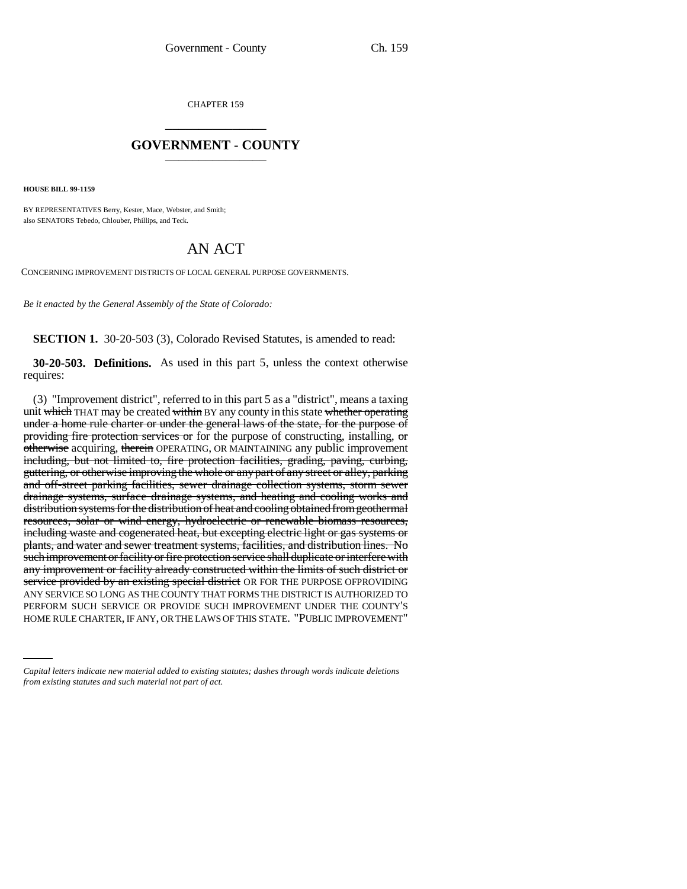CHAPTER 159 \_\_\_\_\_\_\_\_\_\_\_\_\_\_\_

## **GOVERNMENT - COUNTY** \_\_\_\_\_\_\_\_\_\_\_\_\_\_\_

**HOUSE BILL 99-1159** 

BY REPRESENTATIVES Berry, Kester, Mace, Webster, and Smith; also SENATORS Tebedo, Chlouber, Phillips, and Teck.

# AN ACT

CONCERNING IMPROVEMENT DISTRICTS OF LOCAL GENERAL PURPOSE GOVERNMENTS.

*Be it enacted by the General Assembly of the State of Colorado:*

**SECTION 1.** 30-20-503 (3), Colorado Revised Statutes, is amended to read:

**30-20-503. Definitions.** As used in this part 5, unless the context otherwise requires:

ANT SERVICE SO LONG AS THE COUNTT THAT FORMS THE DISTRICT IS AUTHORIZED TO PERFORM SUCH SERVICE OR PROVIDE SUCH IMPROVEMENT UNDER THE COUNTY'S (3) "Improvement district", referred to in this part 5 as a "district", means a taxing unit which THAT may be created within BY any county in this state whether operating under a home rule charter or under the general laws of the state, for the purpose of providing fire protection services or for the purpose of constructing, installing,  $\sigma$ otherwise acquiring, therein OPERATING, OR MAINTAINING any public improvement including, but not limited to, fire protection facilities, grading, paving, curbing, guttering, or otherwise improving the whole or any part of any street or alley, parking and off-street parking facilities, sewer drainage collection systems, storm sewer drainage systems, surface drainage systems, and heating and cooling works and distribution systems for the distribution of heat and cooling obtained from geothermal resources, solar or wind energy, hydroelectric or renewable biomass resources, including waste and cogenerated heat, but excepting electric light or gas systems or plants, and water and sewer treatment systems, facilities, and distribution lines. No such improvement or facility or fire protection service shall duplicate or interfere with any improvement or facility already constructed within the limits of such district or service provided by an existing special district OR FOR THE PURPOSE OFPROVIDING ANY SERVICE SO LONG AS THE COUNTY THAT FORMS THE DISTRICT IS AUTHORIZED TO HOME RULE CHARTER, IF ANY, OR THE LAWS OF THIS STATE. "PUBLIC IMPROVEMENT"

*Capital letters indicate new material added to existing statutes; dashes through words indicate deletions from existing statutes and such material not part of act.*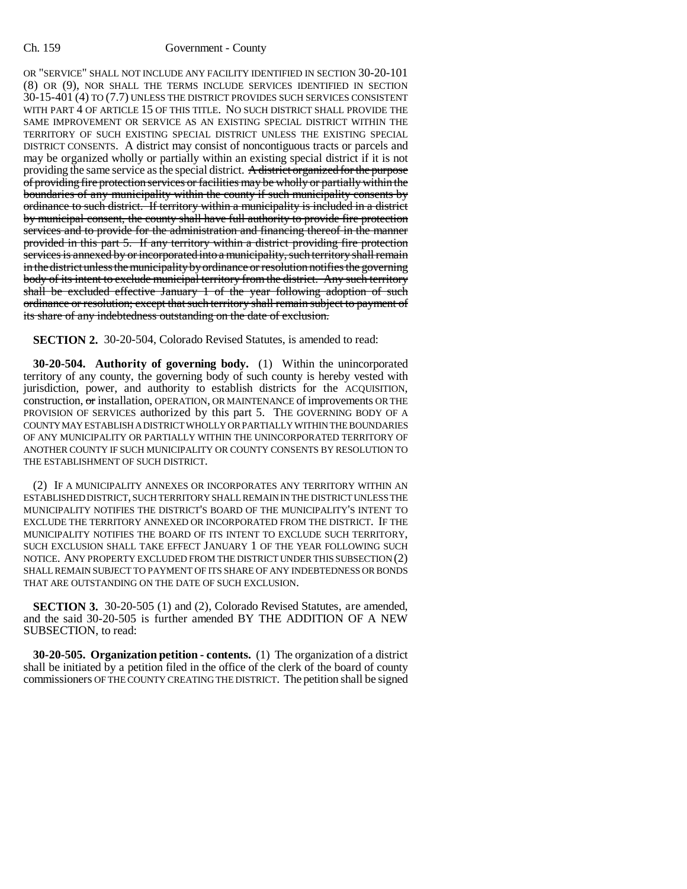OR "SERVICE" SHALL NOT INCLUDE ANY FACILITY IDENTIFIED IN SECTION 30-20-101 (8) OR (9), NOR SHALL THE TERMS INCLUDE SERVICES IDENTIFIED IN SECTION 30-15-401 (4) TO (7.7) UNLESS THE DISTRICT PROVIDES SUCH SERVICES CONSISTENT WITH PART 4 OF ARTICLE 15 OF THIS TITLE. NO SUCH DISTRICT SHALL PROVIDE THE SAME IMPROVEMENT OR SERVICE AS AN EXISTING SPECIAL DISTRICT WITHIN THE TERRITORY OF SUCH EXISTING SPECIAL DISTRICT UNLESS THE EXISTING SPECIAL DISTRICT CONSENTS. A district may consist of noncontiguous tracts or parcels and may be organized wholly or partially within an existing special district if it is not providing the same service as the special district. A district organized for the purpose of providing fire protection services or facilities may be wholly or partially within the boundaries of any municipality within the county if such municipality consents by ordinance to such district. If territory within a municipality is included in a district by municipal consent, the county shall have full authority to provide fire protection services and to provide for the administration and financing thereof in the manner provided in this part 5. If any territory within a district providing fire protection services is annexed by or incorporated into a municipality, such territory shall remain in the district unless the municipality by ordinance or resolution notifies the governing body of its intent to exclude municipal territory from the district. Any such territory shall be excluded effective January 1 of the year following adoption of such ordinance or resolution; except that such territory shall remain subject to payment of its share of any indebtedness outstanding on the date of exclusion.

**SECTION 2.** 30-20-504, Colorado Revised Statutes, is amended to read:

**30-20-504. Authority of governing body.** (1) Within the unincorporated territory of any county, the governing body of such county is hereby vested with jurisdiction, power, and authority to establish districts for the ACQUISITION, construction, or installation, OPERATION, OR MAINTENANCE of improvements OR THE PROVISION OF SERVICES authorized by this part 5. THE GOVERNING BODY OF A COUNTY MAY ESTABLISH A DISTRICT WHOLLY OR PARTIALLY WITHIN THE BOUNDARIES OF ANY MUNICIPALITY OR PARTIALLY WITHIN THE UNINCORPORATED TERRITORY OF ANOTHER COUNTY IF SUCH MUNICIPALITY OR COUNTY CONSENTS BY RESOLUTION TO THE ESTABLISHMENT OF SUCH DISTRICT.

(2) IF A MUNICIPALITY ANNEXES OR INCORPORATES ANY TERRITORY WITHIN AN ESTABLISHED DISTRICT, SUCH TERRITORY SHALL REMAIN IN THE DISTRICT UNLESS THE MUNICIPALITY NOTIFIES THE DISTRICT'S BOARD OF THE MUNICIPALITY'S INTENT TO EXCLUDE THE TERRITORY ANNEXED OR INCORPORATED FROM THE DISTRICT. IF THE MUNICIPALITY NOTIFIES THE BOARD OF ITS INTENT TO EXCLUDE SUCH TERRITORY, SUCH EXCLUSION SHALL TAKE EFFECT JANUARY 1 OF THE YEAR FOLLOWING SUCH NOTICE. ANY PROPERTY EXCLUDED FROM THE DISTRICT UNDER THIS SUBSECTION (2) SHALL REMAIN SUBJECT TO PAYMENT OF ITS SHARE OF ANY INDEBTEDNESS OR BONDS THAT ARE OUTSTANDING ON THE DATE OF SUCH EXCLUSION.

**SECTION 3.** 30-20-505 (1) and (2), Colorado Revised Statutes, are amended, and the said 30-20-505 is further amended BY THE ADDITION OF A NEW SUBSECTION, to read:

**30-20-505. Organization petition - contents.** (1) The organization of a district shall be initiated by a petition filed in the office of the clerk of the board of county commissioners OF THE COUNTY CREATING THE DISTRICT. The petition shall be signed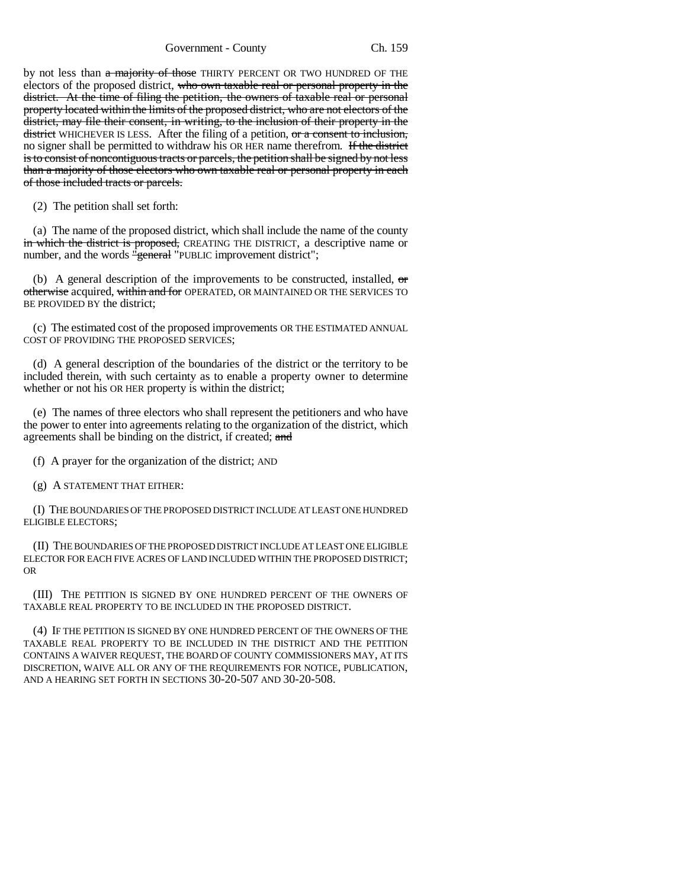Government - County Ch. 159

by not less than a majority of those THIRTY PERCENT OR TWO HUNDRED OF THE electors of the proposed district, who own taxable real or personal property in the district. At the time of filing the petition, the owners of taxable real or personal property located within the limits of the proposed district, who are not electors of the district, may file their consent, in writing, to the inclusion of their property in the district WHICHEVER IS LESS. After the filing of a petition, or a consent to inclusion, no signer shall be permitted to withdraw his OR HER name therefrom. If the district is to consist of noncontiguous tracts or parcels, the petition shall be signed by not less than a majority of those electors who own taxable real or personal property in each of those included tracts or parcels.

(2) The petition shall set forth:

(a) The name of the proposed district, which shall include the name of the county in which the district is proposed, CREATING THE DISTRICT, a descriptive name or number, and the words "general "PUBLIC improvement district";

(b) A general description of the improvements to be constructed, installed,  $\sigma$ otherwise acquired, within and for OPERATED, OR MAINTAINED OR THE SERVICES TO BE PROVIDED BY the district;

(c) The estimated cost of the proposed improvements OR THE ESTIMATED ANNUAL COST OF PROVIDING THE PROPOSED SERVICES;

(d) A general description of the boundaries of the district or the territory to be included therein, with such certainty as to enable a property owner to determine whether or not his OR HER property is within the district;

(e) The names of three electors who shall represent the petitioners and who have the power to enter into agreements relating to the organization of the district, which agreements shall be binding on the district, if created; and

(f) A prayer for the organization of the district; AND

(g) A STATEMENT THAT EITHER:

(I) THE BOUNDARIES OF THE PROPOSED DISTRICT INCLUDE AT LEAST ONE HUNDRED ELIGIBLE ELECTORS;

(II) THE BOUNDARIES OF THE PROPOSED DISTRICT INCLUDE AT LEAST ONE ELIGIBLE ELECTOR FOR EACH FIVE ACRES OF LAND INCLUDED WITHIN THE PROPOSED DISTRICT; OR

(III) THE PETITION IS SIGNED BY ONE HUNDRED PERCENT OF THE OWNERS OF TAXABLE REAL PROPERTY TO BE INCLUDED IN THE PROPOSED DISTRICT.

(4) IF THE PETITION IS SIGNED BY ONE HUNDRED PERCENT OF THE OWNERS OF THE TAXABLE REAL PROPERTY TO BE INCLUDED IN THE DISTRICT AND THE PETITION CONTAINS A WAIVER REQUEST, THE BOARD OF COUNTY COMMISSIONERS MAY, AT ITS DISCRETION, WAIVE ALL OR ANY OF THE REQUIREMENTS FOR NOTICE, PUBLICATION, AND A HEARING SET FORTH IN SECTIONS 30-20-507 AND 30-20-508.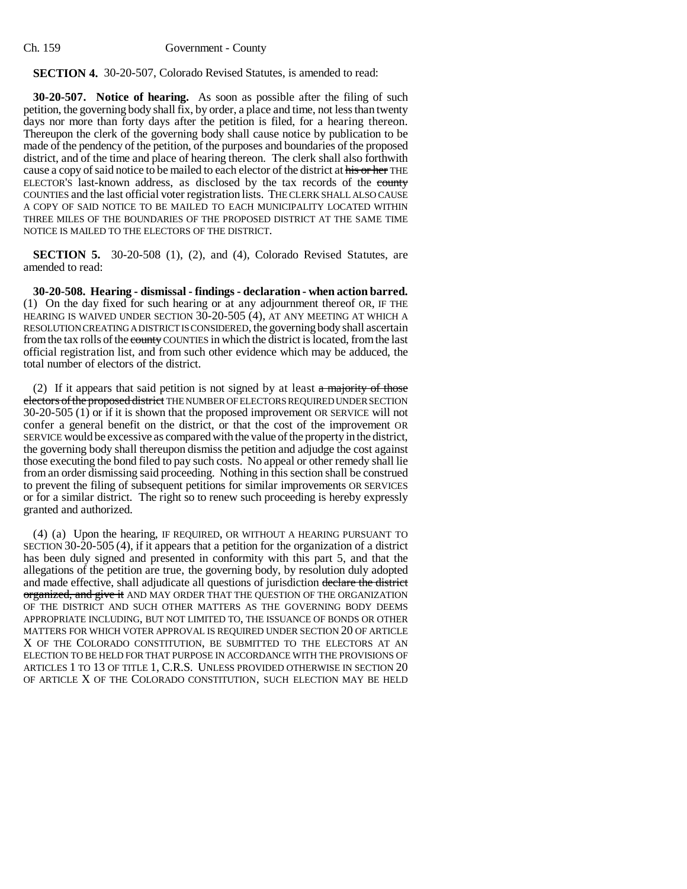## **SECTION 4.** 30-20-507, Colorado Revised Statutes, is amended to read:

**30-20-507. Notice of hearing.** As soon as possible after the filing of such petition, the governing body shall fix, by order, a place and time, not less than twenty days nor more than forty days after the petition is filed, for a hearing thereon. Thereupon the clerk of the governing body shall cause notice by publication to be made of the pendency of the petition, of the purposes and boundaries of the proposed district, and of the time and place of hearing thereon. The clerk shall also forthwith cause a copy of said notice to be mailed to each elector of the district at his or her THE ELECTOR'S last-known address, as disclosed by the tax records of the county COUNTIES and the last official voter registration lists. THE CLERK SHALL ALSO CAUSE A COPY OF SAID NOTICE TO BE MAILED TO EACH MUNICIPALITY LOCATED WITHIN THREE MILES OF THE BOUNDARIES OF THE PROPOSED DISTRICT AT THE SAME TIME NOTICE IS MAILED TO THE ELECTORS OF THE DISTRICT.

**SECTION 5.** 30-20-508 (1), (2), and (4), Colorado Revised Statutes, are amended to read:

**30-20-508. Hearing - dismissal - findings - declaration - when action barred.** (1) On the day fixed for such hearing or at any adjournment thereof OR, IF THE HEARING IS WAIVED UNDER SECTION 30-20-505 (4), AT ANY MEETING AT WHICH A RESOLUTION CREATING A DISTRICT IS CONSIDERED, the governing body shall ascertain from the tax rolls of the county COUNTIES in which the district is located, from the last official registration list, and from such other evidence which may be adduced, the total number of electors of the district.

(2) If it appears that said petition is not signed by at least  $\alpha$  majority of those electors of the proposed district THE NUMBER OF ELECTORS REQUIRED UNDER SECTION 30-20-505 (1) or if it is shown that the proposed improvement OR SERVICE will not confer a general benefit on the district, or that the cost of the improvement OR SERVICE would be excessive as compared with the value of the property in the district, the governing body shall thereupon dismiss the petition and adjudge the cost against those executing the bond filed to pay such costs. No appeal or other remedy shall lie from an order dismissing said proceeding. Nothing in this section shall be construed to prevent the filing of subsequent petitions for similar improvements OR SERVICES or for a similar district. The right so to renew such proceeding is hereby expressly granted and authorized.

(4) (a) Upon the hearing, IF REQUIRED, OR WITHOUT A HEARING PURSUANT TO SECTION 30-20-505 (4), if it appears that a petition for the organization of a district has been duly signed and presented in conformity with this part 5, and that the allegations of the petition are true, the governing body, by resolution duly adopted and made effective, shall adjudicate all questions of jurisdiction declare the district organized, and give it AND MAY ORDER THAT THE QUESTION OF THE ORGANIZATION OF THE DISTRICT AND SUCH OTHER MATTERS AS THE GOVERNING BODY DEEMS APPROPRIATE INCLUDING, BUT NOT LIMITED TO, THE ISSUANCE OF BONDS OR OTHER MATTERS FOR WHICH VOTER APPROVAL IS REQUIRED UNDER SECTION 20 OF ARTICLE X OF THE COLORADO CONSTITUTION, BE SUBMITTED TO THE ELECTORS AT AN ELECTION TO BE HELD FOR THAT PURPOSE IN ACCORDANCE WITH THE PROVISIONS OF ARTICLES 1 TO 13 OF TITLE 1, C.R.S. UNLESS PROVIDED OTHERWISE IN SECTION 20 OF ARTICLE X OF THE COLORADO CONSTITUTION, SUCH ELECTION MAY BE HELD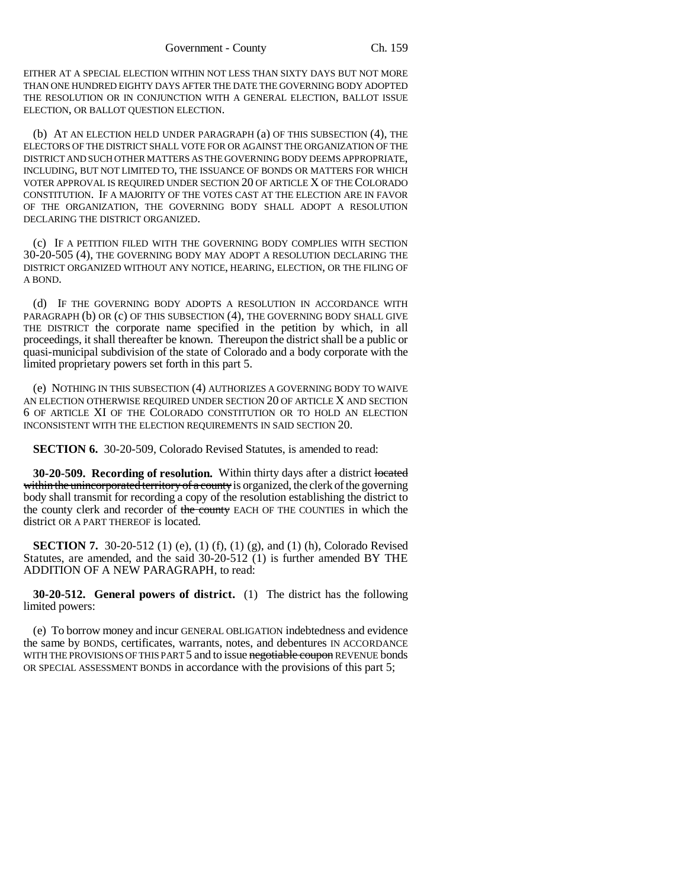EITHER AT A SPECIAL ELECTION WITHIN NOT LESS THAN SIXTY DAYS BUT NOT MORE THAN ONE HUNDRED EIGHTY DAYS AFTER THE DATE THE GOVERNING BODY ADOPTED THE RESOLUTION OR IN CONJUNCTION WITH A GENERAL ELECTION, BALLOT ISSUE ELECTION, OR BALLOT QUESTION ELECTION.

(b) AT AN ELECTION HELD UNDER PARAGRAPH (a) OF THIS SUBSECTION (4), THE ELECTORS OF THE DISTRICT SHALL VOTE FOR OR AGAINST THE ORGANIZATION OF THE DISTRICT AND SUCH OTHER MATTERS AS THE GOVERNING BODY DEEMS APPROPRIATE, INCLUDING, BUT NOT LIMITED TO, THE ISSUANCE OF BONDS OR MATTERS FOR WHICH VOTER APPROVAL IS REQUIRED UNDER SECTION 20 OF ARTICLE X OF THE COLORADO CONSTITUTION. IF A MAJORITY OF THE VOTES CAST AT THE ELECTION ARE IN FAVOR OF THE ORGANIZATION, THE GOVERNING BODY SHALL ADOPT A RESOLUTION DECLARING THE DISTRICT ORGANIZED.

(c) IF A PETITION FILED WITH THE GOVERNING BODY COMPLIES WITH SECTION 30-20-505 (4), THE GOVERNING BODY MAY ADOPT A RESOLUTION DECLARING THE DISTRICT ORGANIZED WITHOUT ANY NOTICE, HEARING, ELECTION, OR THE FILING OF A BOND.

(d) IF THE GOVERNING BODY ADOPTS A RESOLUTION IN ACCORDANCE WITH PARAGRAPH (b) OR (c) OF THIS SUBSECTION (4), THE GOVERNING BODY SHALL GIVE THE DISTRICT the corporate name specified in the petition by which, in all proceedings, it shall thereafter be known. Thereupon the district shall be a public or quasi-municipal subdivision of the state of Colorado and a body corporate with the limited proprietary powers set forth in this part 5.

(e) NOTHING IN THIS SUBSECTION (4) AUTHORIZES A GOVERNING BODY TO WAIVE AN ELECTION OTHERWISE REQUIRED UNDER SECTION 20 OF ARTICLE X AND SECTION 6 OF ARTICLE XI OF THE COLORADO CONSTITUTION OR TO HOLD AN ELECTION INCONSISTENT WITH THE ELECTION REQUIREMENTS IN SAID SECTION 20.

**SECTION 6.** 30-20-509, Colorado Revised Statutes, is amended to read:

**30-20-509. Recording of resolution.** Within thirty days after a district located within the unincorporated territory of a county is organized, the clerk of the governing body shall transmit for recording a copy of the resolution establishing the district to the county clerk and recorder of the county EACH OF THE COUNTIES in which the district OR A PART THEREOF is located.

**SECTION 7.** 30-20-512 (1) (e), (1) (f), (1) (g), and (1) (h), Colorado Revised Statutes, are amended, and the said 30-20-512 (1) is further amended BY THE ADDITION OF A NEW PARAGRAPH, to read:

**30-20-512. General powers of district.** (1) The district has the following limited powers:

(e) To borrow money and incur GENERAL OBLIGATION indebtedness and evidence the same by BONDS, certificates, warrants, notes, and debentures IN ACCORDANCE WITH THE PROVISIONS OF THIS PART 5 and to issue negotiable coupon REVENUE bonds OR SPECIAL ASSESSMENT BONDS in accordance with the provisions of this part 5;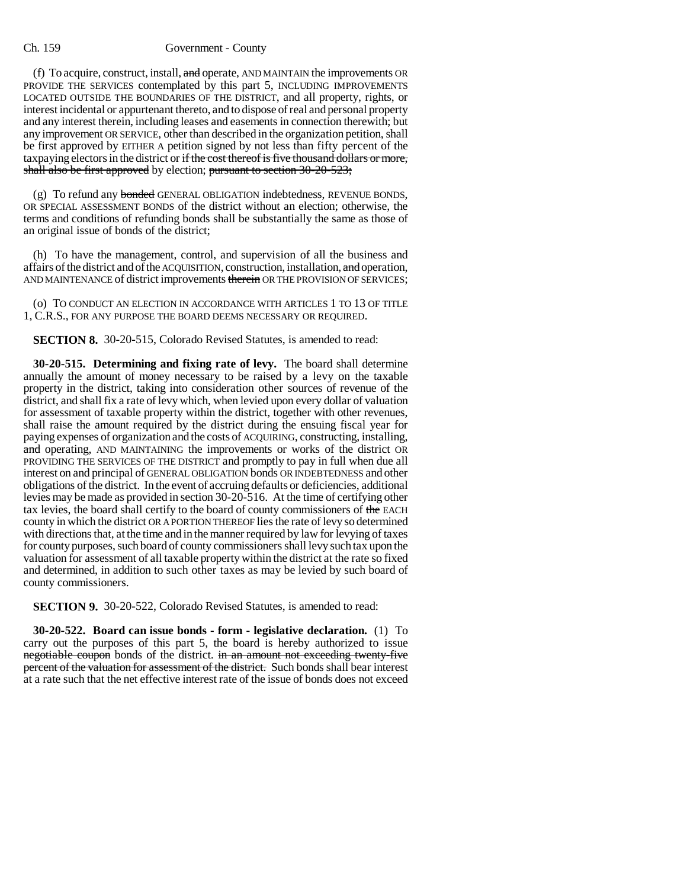(f) To acquire, construct, install,  $\frac{1}{\alpha}$  operate, AND MAINTAIN the improvements OR PROVIDE THE SERVICES contemplated by this part 5, INCLUDING IMPROVEMENTS LOCATED OUTSIDE THE BOUNDARIES OF THE DISTRICT, and all property, rights, or interest incidental or appurtenant thereto, and to dispose of real and personal property and any interest therein, including leases and easements in connection therewith; but any improvement OR SERVICE, other than described in the organization petition, shall be first approved by EITHER A petition signed by not less than fifty percent of the taxpaying electors in the district or if the cost thereof is five thousand dollars or more, shall also be first approved by election; pursuant to section 30-20-523;

(g) To refund any bonded GENERAL OBLIGATION indebtedness, REVENUE BONDS, OR SPECIAL ASSESSMENT BONDS of the district without an election; otherwise, the terms and conditions of refunding bonds shall be substantially the same as those of an original issue of bonds of the district;

(h) To have the management, control, and supervision of all the business and affairs of the district and of the ACQUISITION, construction, installation, and operation, AND MAINTENANCE of district improvements therein OR THE PROVISION OF SERVICES;

(o) TO CONDUCT AN ELECTION IN ACCORDANCE WITH ARTICLES 1 TO 13 OF TITLE 1, C.R.S., FOR ANY PURPOSE THE BOARD DEEMS NECESSARY OR REQUIRED.

**SECTION 8.** 30-20-515, Colorado Revised Statutes, is amended to read:

**30-20-515. Determining and fixing rate of levy.** The board shall determine annually the amount of money necessary to be raised by a levy on the taxable property in the district, taking into consideration other sources of revenue of the district, and shall fix a rate of levy which, when levied upon every dollar of valuation for assessment of taxable property within the district, together with other revenues, shall raise the amount required by the district during the ensuing fiscal year for paying expenses of organization and the costs of ACQUIRING, constructing, installing, and operating, AND MAINTAINING the improvements or works of the district OR PROVIDING THE SERVICES OF THE DISTRICT and promptly to pay in full when due all interest on and principal of GENERAL OBLIGATION bonds OR INDEBTEDNESS and other obligations of the district. In the event of accruing defaults or deficiencies, additional levies may be made as provided in section 30-20-516. At the time of certifying other tax levies, the board shall certify to the board of county commissioners of the EACH county in which the district OR A PORTION THEREOF lies the rate of levy so determined with directions that, at the time and in the manner required by law for levying of taxes for county purposes, such board of county commissioners shall levy such tax upon the valuation for assessment of all taxable property within the district at the rate so fixed and determined, in addition to such other taxes as may be levied by such board of county commissioners.

**SECTION 9.** 30-20-522, Colorado Revised Statutes, is amended to read:

**30-20-522. Board can issue bonds - form - legislative declaration.** (1) To carry out the purposes of this part 5, the board is hereby authorized to issue negotiable coupon bonds of the district. in an amount not exceeding twenty-five percent of the valuation for assessment of the district. Such bonds shall bear interest at a rate such that the net effective interest rate of the issue of bonds does not exceed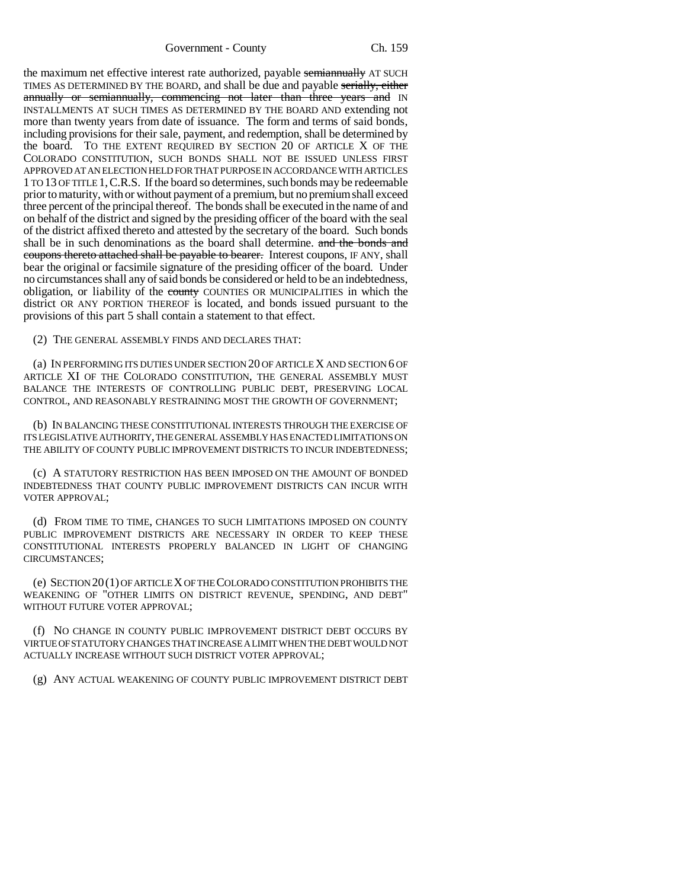Government - County Ch. 159

the maximum net effective interest rate authorized, payable semiannually AT SUCH TIMES AS DETERMINED BY THE BOARD, and shall be due and payable serially, either annually or semiannually, commencing not later than three years and IN INSTALLMENTS AT SUCH TIMES AS DETERMINED BY THE BOARD AND extending not more than twenty years from date of issuance. The form and terms of said bonds, including provisions for their sale, payment, and redemption, shall be determined by the board. TO THE EXTENT REQUIRED BY SECTION 20 OF ARTICLE X OF THE COLORADO CONSTITUTION, SUCH BONDS SHALL NOT BE ISSUED UNLESS FIRST APPROVED AT AN ELECTION HELD FOR THAT PURPOSE IN ACCORDANCE WITH ARTICLES 1 TO 13 OF TITLE 1,C.R.S. If the board so determines, such bonds may be redeemable prior to maturity, with or without payment of a premium, but no premium shall exceed three percent of the principal thereof. The bonds shall be executed in the name of and on behalf of the district and signed by the presiding officer of the board with the seal of the district affixed thereto and attested by the secretary of the board. Such bonds shall be in such denominations as the board shall determine. and the bonds and coupons thereto attached shall be payable to bearer. Interest coupons, IF ANY, shall bear the original or facsimile signature of the presiding officer of the board. Under no circumstances shall any of said bonds be considered or held to be an indebtedness, obligation, or liability of the county COUNTIES OR MUNICIPALITIES in which the district OR ANY PORTION THEREOF is located, and bonds issued pursuant to the provisions of this part 5 shall contain a statement to that effect.

(2) THE GENERAL ASSEMBLY FINDS AND DECLARES THAT:

(a) IN PERFORMING ITS DUTIES UNDER SECTION 20 OF ARTICLE X AND SECTION 6 OF ARTICLE XI OF THE COLORADO CONSTITUTION, THE GENERAL ASSEMBLY MUST BALANCE THE INTERESTS OF CONTROLLING PUBLIC DEBT, PRESERVING LOCAL CONTROL, AND REASONABLY RESTRAINING MOST THE GROWTH OF GOVERNMENT;

(b) IN BALANCING THESE CONSTITUTIONAL INTERESTS THROUGH THE EXERCISE OF ITS LEGISLATIVE AUTHORITY, THE GENERAL ASSEMBLY HAS ENACTED LIMITATIONS ON THE ABILITY OF COUNTY PUBLIC IMPROVEMENT DISTRICTS TO INCUR INDEBTEDNESS;

(c) A STATUTORY RESTRICTION HAS BEEN IMPOSED ON THE AMOUNT OF BONDED INDEBTEDNESS THAT COUNTY PUBLIC IMPROVEMENT DISTRICTS CAN INCUR WITH VOTER APPROVAL;

(d) FROM TIME TO TIME, CHANGES TO SUCH LIMITATIONS IMPOSED ON COUNTY PUBLIC IMPROVEMENT DISTRICTS ARE NECESSARY IN ORDER TO KEEP THESE CONSTITUTIONAL INTERESTS PROPERLY BALANCED IN LIGHT OF CHANGING CIRCUMSTANCES;

(e) SECTION 20(1) OF ARTICLE X OF THE COLORADO CONSTITUTION PROHIBITS THE WEAKENING OF "OTHER LIMITS ON DISTRICT REVENUE, SPENDING, AND DEBT" WITHOUT FUTURE VOTER APPROVAL;

(f) NO CHANGE IN COUNTY PUBLIC IMPROVEMENT DISTRICT DEBT OCCURS BY VIRTUE OF STATUTORY CHANGES THAT INCREASE A LIMIT WHEN THE DEBT WOULD NOT ACTUALLY INCREASE WITHOUT SUCH DISTRICT VOTER APPROVAL;

(g) ANY ACTUAL WEAKENING OF COUNTY PUBLIC IMPROVEMENT DISTRICT DEBT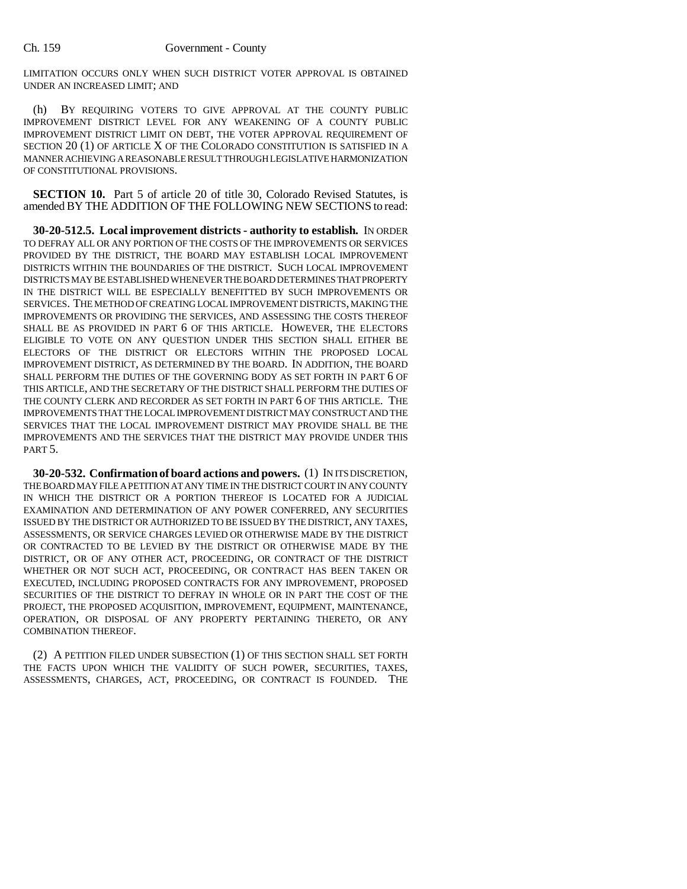LIMITATION OCCURS ONLY WHEN SUCH DISTRICT VOTER APPROVAL IS OBTAINED UNDER AN INCREASED LIMIT; AND

(h) BY REQUIRING VOTERS TO GIVE APPROVAL AT THE COUNTY PUBLIC IMPROVEMENT DISTRICT LEVEL FOR ANY WEAKENING OF A COUNTY PUBLIC IMPROVEMENT DISTRICT LIMIT ON DEBT, THE VOTER APPROVAL REQUIREMENT OF SECTION 20 (1) OF ARTICLE X OF THE COLORADO CONSTITUTION IS SATISFIED IN A MANNER ACHIEVING A REASONABLE RESULT THROUGH LEGISLATIVE HARMONIZATION OF CONSTITUTIONAL PROVISIONS.

**SECTION 10.** Part 5 of article 20 of title 30, Colorado Revised Statutes, is amended BY THE ADDITION OF THE FOLLOWING NEW SECTIONS to read:

**30-20-512.5. Local improvement districts - authority to establish.** IN ORDER TO DEFRAY ALL OR ANY PORTION OF THE COSTS OF THE IMPROVEMENTS OR SERVICES PROVIDED BY THE DISTRICT, THE BOARD MAY ESTABLISH LOCAL IMPROVEMENT DISTRICTS WITHIN THE BOUNDARIES OF THE DISTRICT. SUCH LOCAL IMPROVEMENT DISTRICTS MAY BE ESTABLISHED WHENEVER THE BOARD DETERMINES THAT PROPERTY IN THE DISTRICT WILL BE ESPECIALLY BENEFITTED BY SUCH IMPROVEMENTS OR SERVICES. THE METHOD OF CREATING LOCAL IMPROVEMENT DISTRICTS, MAKING THE IMPROVEMENTS OR PROVIDING THE SERVICES, AND ASSESSING THE COSTS THEREOF SHALL BE AS PROVIDED IN PART 6 OF THIS ARTICLE. HOWEVER, THE ELECTORS ELIGIBLE TO VOTE ON ANY QUESTION UNDER THIS SECTION SHALL EITHER BE ELECTORS OF THE DISTRICT OR ELECTORS WITHIN THE PROPOSED LOCAL IMPROVEMENT DISTRICT, AS DETERMINED BY THE BOARD. IN ADDITION, THE BOARD SHALL PERFORM THE DUTIES OF THE GOVERNING BODY AS SET FORTH IN PART 6 OF THIS ARTICLE, AND THE SECRETARY OF THE DISTRICT SHALL PERFORM THE DUTIES OF THE COUNTY CLERK AND RECORDER AS SET FORTH IN PART 6 OF THIS ARTICLE. THE IMPROVEMENTS THAT THE LOCAL IMPROVEMENT DISTRICT MAY CONSTRUCT AND THE SERVICES THAT THE LOCAL IMPROVEMENT DISTRICT MAY PROVIDE SHALL BE THE IMPROVEMENTS AND THE SERVICES THAT THE DISTRICT MAY PROVIDE UNDER THIS PART 5.

**30-20-532. Confirmation of board actions and powers.** (1) IN ITS DISCRETION, THE BOARD MAY FILE A PETITION AT ANY TIME IN THE DISTRICT COURT IN ANY COUNTY IN WHICH THE DISTRICT OR A PORTION THEREOF IS LOCATED FOR A JUDICIAL EXAMINATION AND DETERMINATION OF ANY POWER CONFERRED, ANY SECURITIES ISSUED BY THE DISTRICT OR AUTHORIZED TO BE ISSUED BY THE DISTRICT, ANY TAXES, ASSESSMENTS, OR SERVICE CHARGES LEVIED OR OTHERWISE MADE BY THE DISTRICT OR CONTRACTED TO BE LEVIED BY THE DISTRICT OR OTHERWISE MADE BY THE DISTRICT, OR OF ANY OTHER ACT, PROCEEDING, OR CONTRACT OF THE DISTRICT WHETHER OR NOT SUCH ACT, PROCEEDING, OR CONTRACT HAS BEEN TAKEN OR EXECUTED, INCLUDING PROPOSED CONTRACTS FOR ANY IMPROVEMENT, PROPOSED SECURITIES OF THE DISTRICT TO DEFRAY IN WHOLE OR IN PART THE COST OF THE PROJECT, THE PROPOSED ACQUISITION, IMPROVEMENT, EQUIPMENT, MAINTENANCE, OPERATION, OR DISPOSAL OF ANY PROPERTY PERTAINING THERETO, OR ANY COMBINATION THEREOF.

(2) A PETITION FILED UNDER SUBSECTION (1) OF THIS SECTION SHALL SET FORTH THE FACTS UPON WHICH THE VALIDITY OF SUCH POWER, SECURITIES, TAXES, ASSESSMENTS, CHARGES, ACT, PROCEEDING, OR CONTRACT IS FOUNDED. THE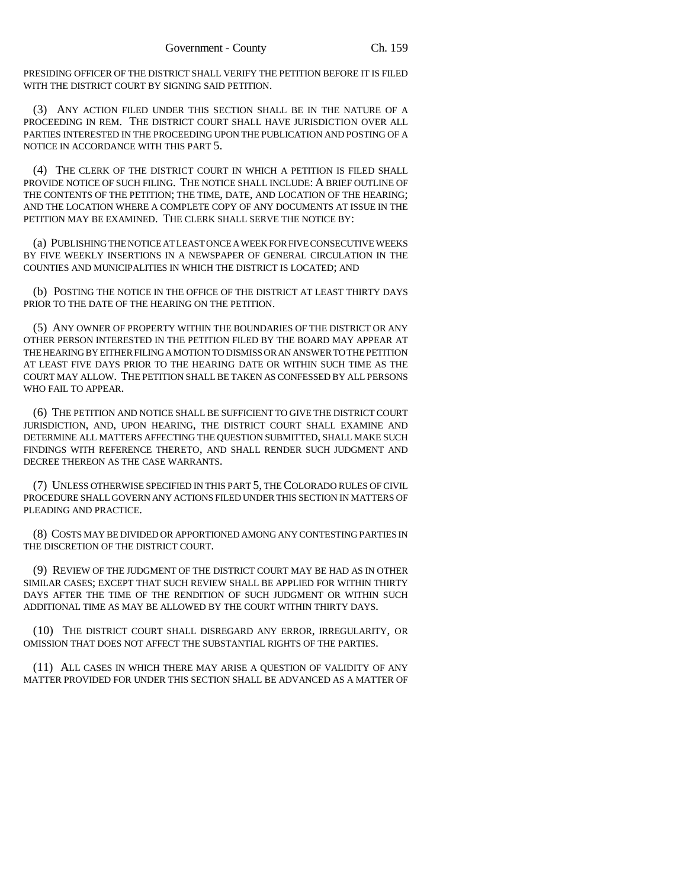PRESIDING OFFICER OF THE DISTRICT SHALL VERIFY THE PETITION BEFORE IT IS FILED WITH THE DISTRICT COURT BY SIGNING SAID PETITION.

(3) ANY ACTION FILED UNDER THIS SECTION SHALL BE IN THE NATURE OF A PROCEEDING IN REM. THE DISTRICT COURT SHALL HAVE JURISDICTION OVER ALL PARTIES INTERESTED IN THE PROCEEDING UPON THE PUBLICATION AND POSTING OF A NOTICE IN ACCORDANCE WITH THIS PART 5.

(4) THE CLERK OF THE DISTRICT COURT IN WHICH A PETITION IS FILED SHALL PROVIDE NOTICE OF SUCH FILING. THE NOTICE SHALL INCLUDE: A BRIEF OUTLINE OF THE CONTENTS OF THE PETITION; THE TIME, DATE, AND LOCATION OF THE HEARING; AND THE LOCATION WHERE A COMPLETE COPY OF ANY DOCUMENTS AT ISSUE IN THE PETITION MAY BE EXAMINED. THE CLERK SHALL SERVE THE NOTICE BY:

(a) PUBLISHING THE NOTICE AT LEAST ONCE A WEEK FOR FIVE CONSECUTIVE WEEKS BY FIVE WEEKLY INSERTIONS IN A NEWSPAPER OF GENERAL CIRCULATION IN THE COUNTIES AND MUNICIPALITIES IN WHICH THE DISTRICT IS LOCATED; AND

(b) POSTING THE NOTICE IN THE OFFICE OF THE DISTRICT AT LEAST THIRTY DAYS PRIOR TO THE DATE OF THE HEARING ON THE PETITION.

(5) ANY OWNER OF PROPERTY WITHIN THE BOUNDARIES OF THE DISTRICT OR ANY OTHER PERSON INTERESTED IN THE PETITION FILED BY THE BOARD MAY APPEAR AT THE HEARING BY EITHER FILING A MOTION TO DISMISS OR AN ANSWER TO THE PETITION AT LEAST FIVE DAYS PRIOR TO THE HEARING DATE OR WITHIN SUCH TIME AS THE COURT MAY ALLOW. THE PETITION SHALL BE TAKEN AS CONFESSED BY ALL PERSONS WHO FAIL TO APPEAR.

(6) THE PETITION AND NOTICE SHALL BE SUFFICIENT TO GIVE THE DISTRICT COURT JURISDICTION, AND, UPON HEARING, THE DISTRICT COURT SHALL EXAMINE AND DETERMINE ALL MATTERS AFFECTING THE QUESTION SUBMITTED, SHALL MAKE SUCH FINDINGS WITH REFERENCE THERETO, AND SHALL RENDER SUCH JUDGMENT AND DECREE THEREON AS THE CASE WARRANTS.

(7) UNLESS OTHERWISE SPECIFIED IN THIS PART 5, THE COLORADO RULES OF CIVIL PROCEDURE SHALL GOVERN ANY ACTIONS FILED UNDER THIS SECTION IN MATTERS OF PLEADING AND PRACTICE.

(8) COSTS MAY BE DIVIDED OR APPORTIONED AMONG ANY CONTESTING PARTIES IN THE DISCRETION OF THE DISTRICT COURT.

(9) REVIEW OF THE JUDGMENT OF THE DISTRICT COURT MAY BE HAD AS IN OTHER SIMILAR CASES; EXCEPT THAT SUCH REVIEW SHALL BE APPLIED FOR WITHIN THIRTY DAYS AFTER THE TIME OF THE RENDITION OF SUCH JUDGMENT OR WITHIN SUCH ADDITIONAL TIME AS MAY BE ALLOWED BY THE COURT WITHIN THIRTY DAYS.

(10) THE DISTRICT COURT SHALL DISREGARD ANY ERROR, IRREGULARITY, OR OMISSION THAT DOES NOT AFFECT THE SUBSTANTIAL RIGHTS OF THE PARTIES.

(11) ALL CASES IN WHICH THERE MAY ARISE A QUESTION OF VALIDITY OF ANY MATTER PROVIDED FOR UNDER THIS SECTION SHALL BE ADVANCED AS A MATTER OF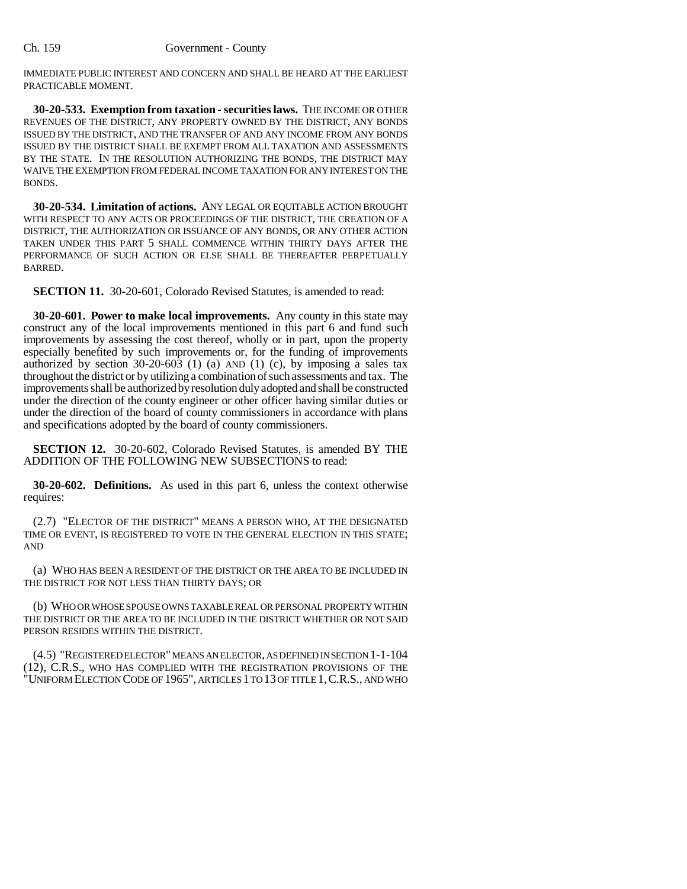IMMEDIATE PUBLIC INTEREST AND CONCERN AND SHALL BE HEARD AT THE EARLIEST PRACTICABLE MOMENT.

**30-20-533. Exemption from taxation - securities laws.** THE INCOME OR OTHER REVENUES OF THE DISTRICT, ANY PROPERTY OWNED BY THE DISTRICT, ANY BONDS ISSUED BY THE DISTRICT, AND THE TRANSFER OF AND ANY INCOME FROM ANY BONDS ISSUED BY THE DISTRICT SHALL BE EXEMPT FROM ALL TAXATION AND ASSESSMENTS BY THE STATE. IN THE RESOLUTION AUTHORIZING THE BONDS, THE DISTRICT MAY WAIVE THE EXEMPTION FROM FEDERAL INCOME TAXATION FOR ANY INTEREST ON THE BONDS.

**30-20-534. Limitation of actions.** ANY LEGAL OR EQUITABLE ACTION BROUGHT WITH RESPECT TO ANY ACTS OR PROCEEDINGS OF THE DISTRICT, THE CREATION OF A DISTRICT, THE AUTHORIZATION OR ISSUANCE OF ANY BONDS, OR ANY OTHER ACTION TAKEN UNDER THIS PART 5 SHALL COMMENCE WITHIN THIRTY DAYS AFTER THE PERFORMANCE OF SUCH ACTION OR ELSE SHALL BE THEREAFTER PERPETUALLY BARRED.

**SECTION 11.** 30-20-601, Colorado Revised Statutes, is amended to read:

**30-20-601. Power to make local improvements.** Any county in this state may construct any of the local improvements mentioned in this part 6 and fund such improvements by assessing the cost thereof, wholly or in part, upon the property especially benefited by such improvements or, for the funding of improvements authorized by section  $30-20-603$  (1) (a) AND (1) (c), by imposing a sales tax throughout the district or by utilizing a combination of such assessments and tax. The improvements shall be authorized by resolution duly adopted and shall be constructed under the direction of the county engineer or other officer having similar duties or under the direction of the board of county commissioners in accordance with plans and specifications adopted by the board of county commissioners.

**SECTION 12.** 30-20-602, Colorado Revised Statutes, is amended BY THE ADDITION OF THE FOLLOWING NEW SUBSECTIONS to read:

**30-20-602. Definitions.** As used in this part 6, unless the context otherwise requires:

(2.7) "ELECTOR OF THE DISTRICT" MEANS A PERSON WHO, AT THE DESIGNATED TIME OR EVENT, IS REGISTERED TO VOTE IN THE GENERAL ELECTION IN THIS STATE; AND

(a) WHO HAS BEEN A RESIDENT OF THE DISTRICT OR THE AREA TO BE INCLUDED IN THE DISTRICT FOR NOT LESS THAN THIRTY DAYS; OR

(b) WHO OR WHOSE SPOUSE OWNS TAXABLE REAL OR PERSONAL PROPERTY WITHIN THE DISTRICT OR THE AREA TO BE INCLUDED IN THE DISTRICT WHETHER OR NOT SAID PERSON RESIDES WITHIN THE DISTRICT.

(4.5) "REGISTERED ELECTOR" MEANS AN ELECTOR, AS DEFINED IN SECTION 1-1-104 (12), C.R.S., WHO HAS COMPLIED WITH THE REGISTRATION PROVISIONS OF THE "UNIFORM ELECTION CODE OF 1965", ARTICLES 1 TO 13 OF TITLE 1,C.R.S., AND WHO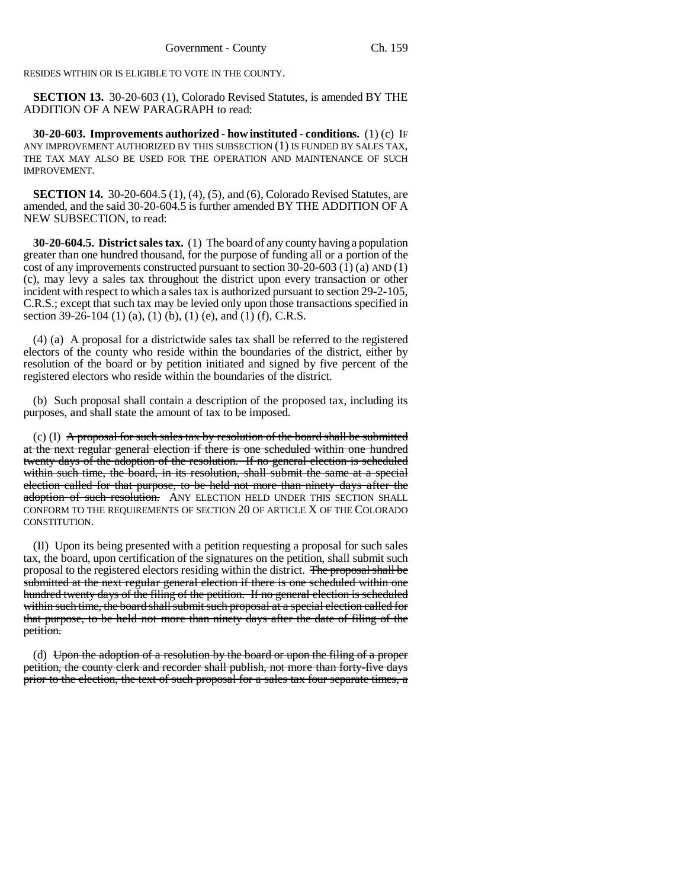RESIDES WITHIN OR IS ELIGIBLE TO VOTE IN THE COUNTY.

**SECTION 13.** 30-20-603 (1), Colorado Revised Statutes, is amended BY THE ADDITION OF A NEW PARAGRAPH to read:

**30-20-603. Improvements authorized - how instituted - conditions.** (1) (c) IF ANY IMPROVEMENT AUTHORIZED BY THIS SUBSECTION (1) IS FUNDED BY SALES TAX, THE TAX MAY ALSO BE USED FOR THE OPERATION AND MAINTENANCE OF SUCH IMPROVEMENT.

**SECTION 14.** 30-20-604.5 (1), (4), (5), and (6), Colorado Revised Statutes, are amended, and the said 30-20-604.5 is further amended BY THE ADDITION OF A NEW SUBSECTION, to read:

**30-20-604.5. District sales tax.** (1) The board of any county having a population greater than one hundred thousand, for the purpose of funding all or a portion of the cost of any improvements constructed pursuant to section  $30-20-603$  (1) (a) AND (1) (c), may levy a sales tax throughout the district upon every transaction or other incident with respect to which a sales tax is authorized pursuant to section 29-2-105, C.R.S.; except that such tax may be levied only upon those transactions specified in section 39-26-104 (1) (a), (1) (b), (1) (e), and (1) (f), C.R.S.

(4) (a) A proposal for a districtwide sales tax shall be referred to the registered electors of the county who reside within the boundaries of the district, either by resolution of the board or by petition initiated and signed by five percent of the registered electors who reside within the boundaries of the district.

(b) Such proposal shall contain a description of the proposed tax, including its purposes, and shall state the amount of tax to be imposed.

(c) (I)  $\overline{A}$  proposal for such sales tax by resolution of the board shall be submitted at the next regular general election if there is one scheduled within one hundred twenty days of the adoption of the resolution. If no general election is scheduled within such time, the board, in its resolution, shall submit the same at a special election called for that purpose, to be held not more than ninety days after the adoption of such resolution. ANY ELECTION HELD UNDER THIS SECTION SHALL CONFORM TO THE REQUIREMENTS OF SECTION 20 OF ARTICLE X OF THE COLORADO CONSTITUTION.

(II) Upon its being presented with a petition requesting a proposal for such sales tax, the board, upon certification of the signatures on the petition, shall submit such proposal to the registered electors residing within the district. The proposal shall be submitted at the next regular general election if there is one scheduled within one hundred twenty days of the filing of the petition. If no general election is scheduled within such time, the board shall submit such proposal at a special election called for that purpose, to be held not more than ninety days after the date of filing of the petition.

(d) Upon the adoption of a resolution by the board or upon the filing of a proper petition, the county clerk and recorder shall publish, not more than forty-five days prior to the election, the text of such proposal for a sales tax four separate times, a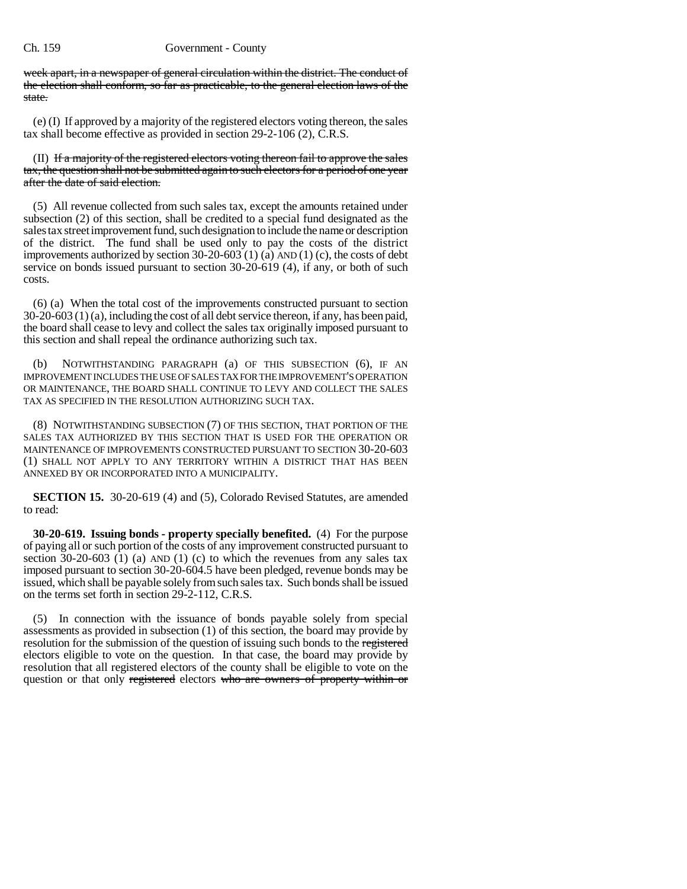week apart, in a newspaper of general circulation within the district. The conduct of the election shall conform, so far as practicable, to the general election laws of the state.

(e) (I) If approved by a majority of the registered electors voting thereon, the sales tax shall become effective as provided in section 29-2-106 (2), C.R.S.

(II) If a majority of the registered electors voting thereon fail to approve the sales tax, the question shall not be submitted again to such electors for a period of one year after the date of said election.

(5) All revenue collected from such sales tax, except the amounts retained under subsection (2) of this section, shall be credited to a special fund designated as the sales tax street improvement fund, such designation to include the name or description of the district. The fund shall be used only to pay the costs of the district improvements authorized by section 30-20-603 (1) (a) AND (1) (c), the costs of debt service on bonds issued pursuant to section 30-20-619 (4), if any, or both of such costs.

(6) (a) When the total cost of the improvements constructed pursuant to section 30-20-603 (1) (a), including the cost of all debt service thereon, if any, has been paid, the board shall cease to levy and collect the sales tax originally imposed pursuant to this section and shall repeal the ordinance authorizing such tax.

(b) NOTWITHSTANDING PARAGRAPH (a) OF THIS SUBSECTION (6), IF AN IMPROVEMENT INCLUDES THE USE OF SALES TAX FOR THE IMPROVEMENT'S OPERATION OR MAINTENANCE, THE BOARD SHALL CONTINUE TO LEVY AND COLLECT THE SALES TAX AS SPECIFIED IN THE RESOLUTION AUTHORIZING SUCH TAX.

(8) NOTWITHSTANDING SUBSECTION (7) OF THIS SECTION, THAT PORTION OF THE SALES TAX AUTHORIZED BY THIS SECTION THAT IS USED FOR THE OPERATION OR MAINTENANCE OF IMPROVEMENTS CONSTRUCTED PURSUANT TO SECTION 30-20-603 (1) SHALL NOT APPLY TO ANY TERRITORY WITHIN A DISTRICT THAT HAS BEEN ANNEXED BY OR INCORPORATED INTO A MUNICIPALITY.

**SECTION 15.** 30-20-619 (4) and (5), Colorado Revised Statutes, are amended to read:

**30-20-619. Issuing bonds - property specially benefited.** (4) For the purpose of paying all or such portion of the costs of any improvement constructed pursuant to section 30-20-603  $(1)$  (a) AND  $(1)$  (c) to which the revenues from any sales tax imposed pursuant to section 30-20-604.5 have been pledged, revenue bonds may be issued, which shall be payable solely from such sales tax. Such bonds shall be issued on the terms set forth in section 29-2-112, C.R.S.

(5) In connection with the issuance of bonds payable solely from special assessments as provided in subsection (1) of this section, the board may provide by resolution for the submission of the question of issuing such bonds to the registered electors eligible to vote on the question. In that case, the board may provide by resolution that all registered electors of the county shall be eligible to vote on the question or that only registered electors who are owners of property within or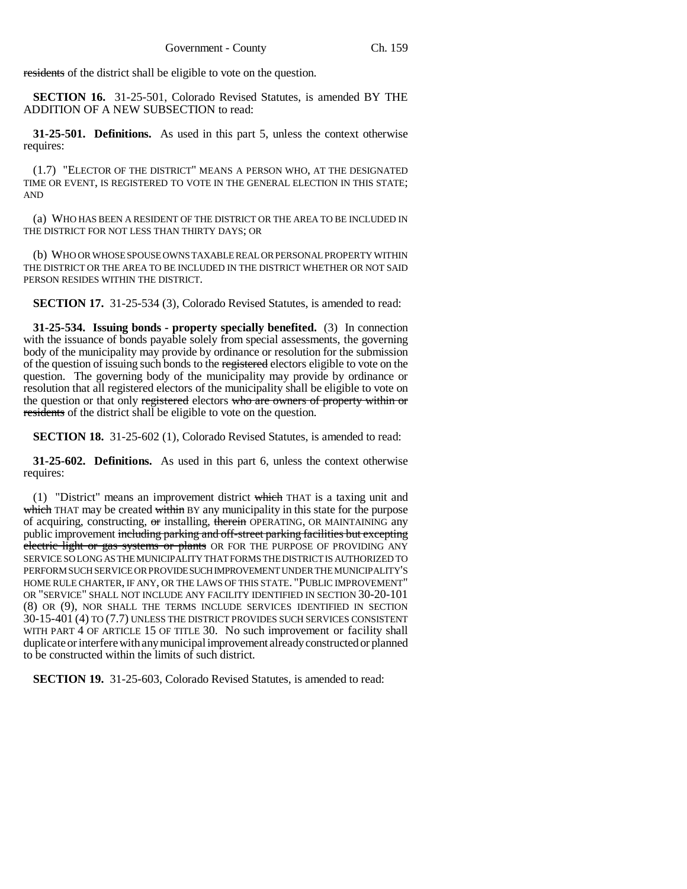residents of the district shall be eligible to vote on the question.

**SECTION 16.** 31-25-501, Colorado Revised Statutes, is amended BY THE ADDITION OF A NEW SUBSECTION to read:

**31-25-501. Definitions.** As used in this part 5, unless the context otherwise requires:

(1.7) "ELECTOR OF THE DISTRICT" MEANS A PERSON WHO, AT THE DESIGNATED TIME OR EVENT, IS REGISTERED TO VOTE IN THE GENERAL ELECTION IN THIS STATE; AND

(a) WHO HAS BEEN A RESIDENT OF THE DISTRICT OR THE AREA TO BE INCLUDED IN THE DISTRICT FOR NOT LESS THAN THIRTY DAYS; OR

(b) WHO OR WHOSE SPOUSE OWNS TAXABLE REAL OR PERSONAL PROPERTY WITHIN THE DISTRICT OR THE AREA TO BE INCLUDED IN THE DISTRICT WHETHER OR NOT SAID PERSON RESIDES WITHIN THE DISTRICT.

**SECTION 17.** 31-25-534 (3), Colorado Revised Statutes, is amended to read:

**31-25-534. Issuing bonds - property specially benefited.** (3) In connection with the issuance of bonds payable solely from special assessments, the governing body of the municipality may provide by ordinance or resolution for the submission of the question of issuing such bonds to the registered electors eligible to vote on the question. The governing body of the municipality may provide by ordinance or resolution that all registered electors of the municipality shall be eligible to vote on the question or that only registered electors who are owners of property within or residents of the district shall be eligible to vote on the question.

**SECTION 18.** 31-25-602 (1), Colorado Revised Statutes, is amended to read:

**31-25-602. Definitions.** As used in this part 6, unless the context otherwise requires:

(1) "District" means an improvement district which THAT is a taxing unit and which THAT may be created within BY any municipality in this state for the purpose of acquiring, constructing, or installing, therein OPERATING, OR MAINTAINING any public improvement including parking and off-street parking facilities but excepting electric light or gas systems or plants OR FOR THE PURPOSE OF PROVIDING ANY SERVICE SO LONG AS THE MUNICIPALITY THAT FORMS THE DISTRICT IS AUTHORIZED TO PERFORM SUCH SERVICE OR PROVIDE SUCH IMPROVEMENT UNDER THE MUNICIPALITY'S HOME RULE CHARTER, IF ANY, OR THE LAWS OF THIS STATE. "PUBLIC IMPROVEMENT" OR "SERVICE" SHALL NOT INCLUDE ANY FACILITY IDENTIFIED IN SECTION 30-20-101 (8) OR (9), NOR SHALL THE TERMS INCLUDE SERVICES IDENTIFIED IN SECTION 30-15-401 (4) TO (7.7) UNLESS THE DISTRICT PROVIDES SUCH SERVICES CONSISTENT WITH PART 4 OF ARTICLE 15 OF TITLE 30. No such improvement or facility shall duplicate or interfere with any municipal improvement already constructed or planned to be constructed within the limits of such district.

**SECTION 19.** 31-25-603, Colorado Revised Statutes, is amended to read: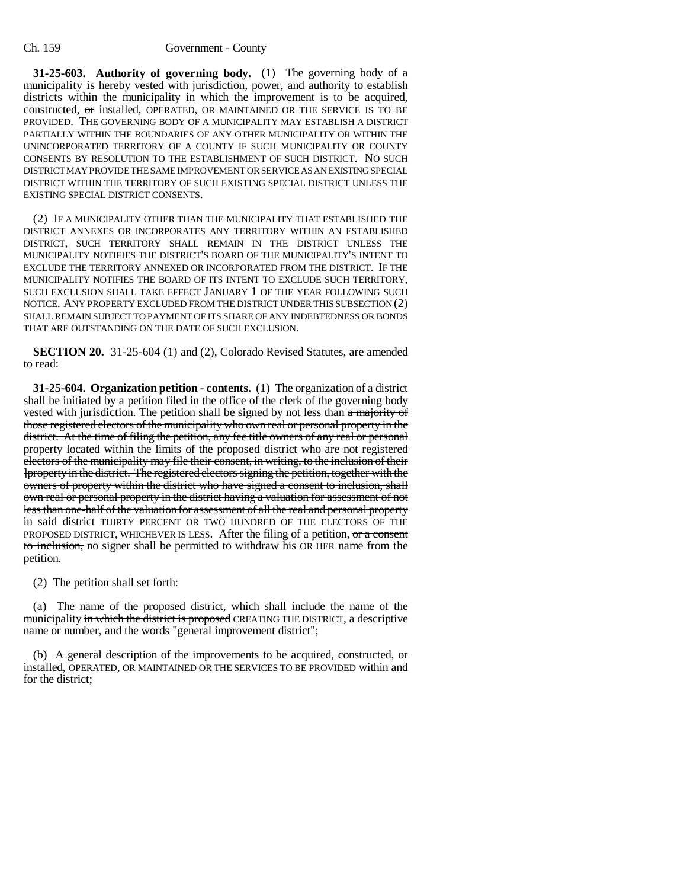**31-25-603. Authority of governing body.** (1) The governing body of a municipality is hereby vested with jurisdiction, power, and authority to establish districts within the municipality in which the improvement is to be acquired, constructed, or installed, OPERATED, OR MAINTAINED OR THE SERVICE IS TO BE PROVIDED. THE GOVERNING BODY OF A MUNICIPALITY MAY ESTABLISH A DISTRICT PARTIALLY WITHIN THE BOUNDARIES OF ANY OTHER MUNICIPALITY OR WITHIN THE UNINCORPORATED TERRITORY OF A COUNTY IF SUCH MUNICIPALITY OR COUNTY CONSENTS BY RESOLUTION TO THE ESTABLISHMENT OF SUCH DISTRICT. NO SUCH DISTRICT MAY PROVIDE THE SAME IMPROVEMENT OR SERVICE AS AN EXISTING SPECIAL DISTRICT WITHIN THE TERRITORY OF SUCH EXISTING SPECIAL DISTRICT UNLESS THE EXISTING SPECIAL DISTRICT CONSENTS.

(2) IF A MUNICIPALITY OTHER THAN THE MUNICIPALITY THAT ESTABLISHED THE DISTRICT ANNEXES OR INCORPORATES ANY TERRITORY WITHIN AN ESTABLISHED DISTRICT, SUCH TERRITORY SHALL REMAIN IN THE DISTRICT UNLESS THE MUNICIPALITY NOTIFIES THE DISTRICT'S BOARD OF THE MUNICIPALITY'S INTENT TO EXCLUDE THE TERRITORY ANNEXED OR INCORPORATED FROM THE DISTRICT. IF THE MUNICIPALITY NOTIFIES THE BOARD OF ITS INTENT TO EXCLUDE SUCH TERRITORY, SUCH EXCLUSION SHALL TAKE EFFECT JANUARY 1 OF THE YEAR FOLLOWING SUCH NOTICE. ANY PROPERTY EXCLUDED FROM THE DISTRICT UNDER THIS SUBSECTION (2) SHALL REMAIN SUBJECT TO PAYMENT OF ITS SHARE OF ANY INDEBTEDNESS OR BONDS THAT ARE OUTSTANDING ON THE DATE OF SUCH EXCLUSION.

**SECTION 20.** 31-25-604 (1) and (2), Colorado Revised Statutes, are amended to read:

**31-25-604. Organization petition - contents.** (1) The organization of a district shall be initiated by a petition filed in the office of the clerk of the governing body vested with jurisdiction. The petition shall be signed by not less than a majority of those registered electors of the municipality who own real or personal property in the district. At the time of filing the petition, any fee title owners of any real or personal property located within the limits of the proposed district who are not registered electors of the municipality may file their consent, in writing, to the inclusion of their ]property in the district. The registered electors signing the petition, together with the owners of property within the district who have signed a consent to inclusion, shall own real or personal property in the district having a valuation for assessment of not less than one-half of the valuation for assessment of all the real and personal property in said district THIRTY PERCENT OR TWO HUNDRED OF THE ELECTORS OF THE PROPOSED DISTRICT, WHICHEVER IS LESS. After the filing of a petition, or a consent to inclusion, no signer shall be permitted to withdraw his OR HER name from the petition.

(2) The petition shall set forth:

(a) The name of the proposed district, which shall include the name of the municipality in which the district is proposed CREATING THE DISTRICT, a descriptive name or number, and the words "general improvement district";

(b) A general description of the improvements to be acquired, constructed,  $\sigma$ installed, OPERATED, OR MAINTAINED OR THE SERVICES TO BE PROVIDED within and for the district;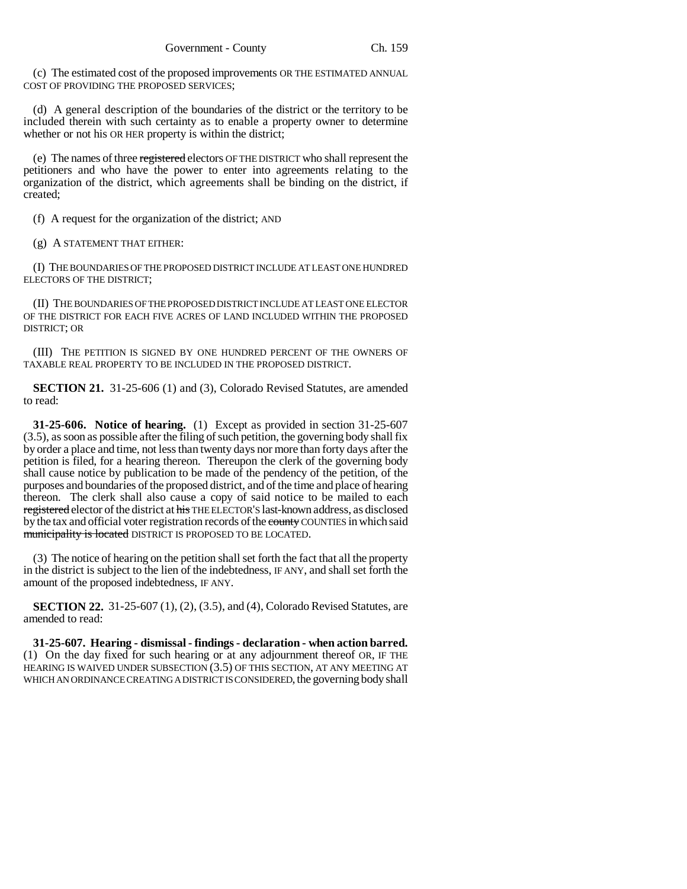(c) The estimated cost of the proposed improvements OR THE ESTIMATED ANNUAL COST OF PROVIDING THE PROPOSED SERVICES;

(d) A general description of the boundaries of the district or the territory to be included therein with such certainty as to enable a property owner to determine whether or not his OR HER property is within the district;

(e) The names of three registered electors OF THE DISTRICT who shall represent the petitioners and who have the power to enter into agreements relating to the organization of the district, which agreements shall be binding on the district, if created;

(f) A request for the organization of the district; AND

(g) A STATEMENT THAT EITHER:

(I) THE BOUNDARIES OF THE PROPOSED DISTRICT INCLUDE AT LEAST ONE HUNDRED ELECTORS OF THE DISTRICT;

(II) THE BOUNDARIES OF THE PROPOSED DISTRICT INCLUDE AT LEAST ONE ELECTOR OF THE DISTRICT FOR EACH FIVE ACRES OF LAND INCLUDED WITHIN THE PROPOSED DISTRICT; OR

(III) THE PETITION IS SIGNED BY ONE HUNDRED PERCENT OF THE OWNERS OF TAXABLE REAL PROPERTY TO BE INCLUDED IN THE PROPOSED DISTRICT.

**SECTION 21.** 31-25-606 (1) and (3), Colorado Revised Statutes, are amended to read:

**31-25-606. Notice of hearing.** (1) Except as provided in section 31-25-607 (3.5), as soon as possible after the filing of such petition, the governing body shall fix by order a place and time, not less than twenty days nor more than forty days after the petition is filed, for a hearing thereon. Thereupon the clerk of the governing body shall cause notice by publication to be made of the pendency of the petition, of the purposes and boundaries of the proposed district, and of the time and place of hearing thereon. The clerk shall also cause a copy of said notice to be mailed to each registered elector of the district at his THE ELECTOR'S last-known address, as disclosed by the tax and official voter registration records of the county COUNTIES in which said municipality is located DISTRICT IS PROPOSED TO BE LOCATED.

(3) The notice of hearing on the petition shall set forth the fact that all the property in the district is subject to the lien of the indebtedness, IF ANY, and shall set forth the amount of the proposed indebtedness, IF ANY.

**SECTION 22.** 31-25-607 (1), (2), (3.5), and (4), Colorado Revised Statutes, are amended to read:

**31-25-607. Hearing - dismissal - findings - declaration - when action barred.** (1) On the day fixed for such hearing or at any adjournment thereof OR, IF THE HEARING IS WAIVED UNDER SUBSECTION (3.5) OF THIS SECTION, AT ANY MEETING AT WHICH AN ORDINANCE CREATING A DISTRICT IS CONSIDERED, the governing body shall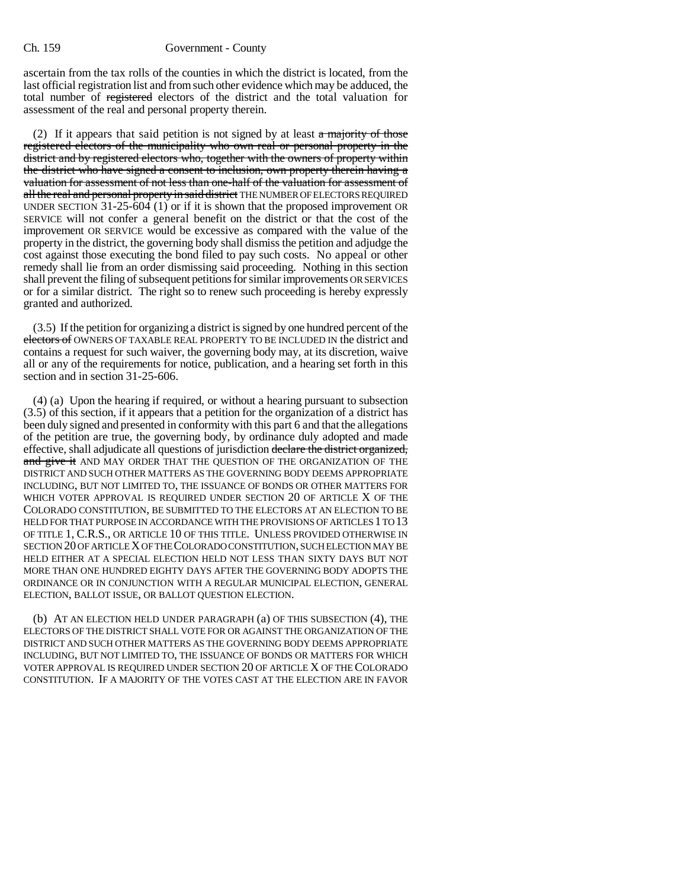ascertain from the tax rolls of the counties in which the district is located, from the last official registration list and from such other evidence which may be adduced, the total number of registered electors of the district and the total valuation for assessment of the real and personal property therein.

(2) If it appears that said petition is not signed by at least  $\alpha$  majority of those registered electors of the municipality who own real or personal property in the district and by registered electors who, together with the owners of property within the district who have signed a consent to inclusion, own property therein having a valuation for assessment of not less than one-half of the valuation for assessment of all the real and personal property in said district THE NUMBER OF ELECTORS REQUIRED UNDER SECTION 31-25-604 (1) or if it is shown that the proposed improvement OR SERVICE will not confer a general benefit on the district or that the cost of the improvement OR SERVICE would be excessive as compared with the value of the property in the district, the governing body shall dismiss the petition and adjudge the cost against those executing the bond filed to pay such costs. No appeal or other remedy shall lie from an order dismissing said proceeding. Nothing in this section shall prevent the filing of subsequent petitions for similar improvements OR SERVICES or for a similar district. The right so to renew such proceeding is hereby expressly granted and authorized.

(3.5) If the petition for organizing a district is signed by one hundred percent of the electors of OWNERS OF TAXABLE REAL PROPERTY TO BE INCLUDED IN the district and contains a request for such waiver, the governing body may, at its discretion, waive all or any of the requirements for notice, publication, and a hearing set forth in this section and in section 31-25-606.

(4) (a) Upon the hearing if required, or without a hearing pursuant to subsection (3.5) of this section, if it appears that a petition for the organization of a district has been duly signed and presented in conformity with this part 6 and that the allegations of the petition are true, the governing body, by ordinance duly adopted and made effective, shall adjudicate all questions of jurisdiction declare the district organized, and give it AND MAY ORDER THAT THE QUESTION OF THE ORGANIZATION OF THE DISTRICT AND SUCH OTHER MATTERS AS THE GOVERNING BODY DEEMS APPROPRIATE INCLUDING, BUT NOT LIMITED TO, THE ISSUANCE OF BONDS OR OTHER MATTERS FOR WHICH VOTER APPROVAL IS REQUIRED UNDER SECTION 20 OF ARTICLE X OF THE COLORADO CONSTITUTION, BE SUBMITTED TO THE ELECTORS AT AN ELECTION TO BE HELD FOR THAT PURPOSE IN ACCORDANCE WITH THE PROVISIONS OF ARTICLES 1 TO 13 OF TITLE 1, C.R.S., OR ARTICLE 10 OF THIS TITLE. UNLESS PROVIDED OTHERWISE IN SECTION 20 OF ARTICLE X OF THE COLORADO CONSTITUTION, SUCH ELECTION MAY BE HELD EITHER AT A SPECIAL ELECTION HELD NOT LESS THAN SIXTY DAYS BUT NOT MORE THAN ONE HUNDRED EIGHTY DAYS AFTER THE GOVERNING BODY ADOPTS THE ORDINANCE OR IN CONJUNCTION WITH A REGULAR MUNICIPAL ELECTION, GENERAL ELECTION, BALLOT ISSUE, OR BALLOT QUESTION ELECTION.

(b) AT AN ELECTION HELD UNDER PARAGRAPH (a) OF THIS SUBSECTION (4), THE ELECTORS OF THE DISTRICT SHALL VOTE FOR OR AGAINST THE ORGANIZATION OF THE DISTRICT AND SUCH OTHER MATTERS AS THE GOVERNING BODY DEEMS APPROPRIATE INCLUDING, BUT NOT LIMITED TO, THE ISSUANCE OF BONDS OR MATTERS FOR WHICH VOTER APPROVAL IS REQUIRED UNDER SECTION 20 OF ARTICLE X OF THE COLORADO CONSTITUTION. IF A MAJORITY OF THE VOTES CAST AT THE ELECTION ARE IN FAVOR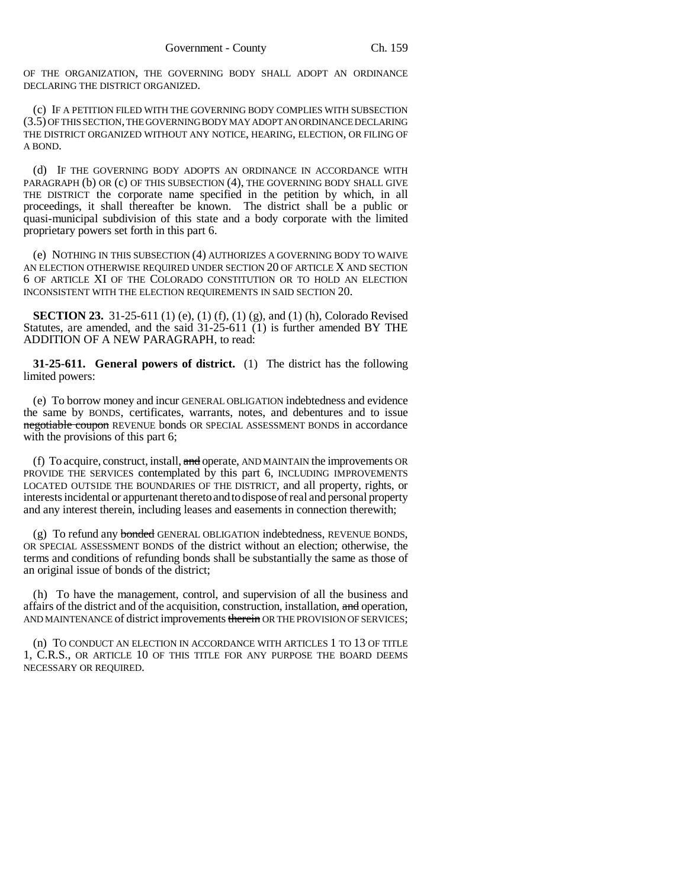OF THE ORGANIZATION, THE GOVERNING BODY SHALL ADOPT AN ORDINANCE DECLARING THE DISTRICT ORGANIZED.

(c) IF A PETITION FILED WITH THE GOVERNING BODY COMPLIES WITH SUBSECTION (3.5) OF THIS SECTION, THE GOVERNING BODY MAY ADOPT AN ORDINANCE DECLARING THE DISTRICT ORGANIZED WITHOUT ANY NOTICE, HEARING, ELECTION, OR FILING OF A BOND.

(d) IF THE GOVERNING BODY ADOPTS AN ORDINANCE IN ACCORDANCE WITH PARAGRAPH (b) OR (c) OF THIS SUBSECTION (4), THE GOVERNING BODY SHALL GIVE THE DISTRICT the corporate name specified in the petition by which, in all proceedings, it shall thereafter be known. The district shall be a public or quasi-municipal subdivision of this state and a body corporate with the limited proprietary powers set forth in this part 6.

(e) NOTHING IN THIS SUBSECTION (4) AUTHORIZES A GOVERNING BODY TO WAIVE AN ELECTION OTHERWISE REQUIRED UNDER SECTION 20 OF ARTICLE X AND SECTION 6 OF ARTICLE XI OF THE COLORADO CONSTITUTION OR TO HOLD AN ELECTION INCONSISTENT WITH THE ELECTION REQUIREMENTS IN SAID SECTION 20.

**SECTION 23.** 31-25-611 (1) (e), (1) (f), (1) (g), and (1) (h), Colorado Revised Statutes, are amended, and the said 31-25-611 (1) is further amended BY THE ADDITION OF A NEW PARAGRAPH, to read:

**31-25-611. General powers of district.** (1) The district has the following limited powers:

(e) To borrow money and incur GENERAL OBLIGATION indebtedness and evidence the same by BONDS, certificates, warrants, notes, and debentures and to issue negotiable coupon REVENUE bonds OR SPECIAL ASSESSMENT BONDS in accordance with the provisions of this part 6;

(f) To acquire, construct, install, and operate, AND MAINTAIN the improvements OR PROVIDE THE SERVICES contemplated by this part 6, INCLUDING IMPROVEMENTS LOCATED OUTSIDE THE BOUNDARIES OF THE DISTRICT, and all property, rights, or interests incidental or appurtenant thereto and to dispose of real and personal property and any interest therein, including leases and easements in connection therewith;

(g) To refund any **bonded** GENERAL OBLIGATION indebtedness, REVENUE BONDS, OR SPECIAL ASSESSMENT BONDS of the district without an election; otherwise, the terms and conditions of refunding bonds shall be substantially the same as those of an original issue of bonds of the district;

(h) To have the management, control, and supervision of all the business and affairs of the district and of the acquisition, construction, installation, and operation, AND MAINTENANCE of district improvements therein OR THE PROVISION OF SERVICES;

(n) TO CONDUCT AN ELECTION IN ACCORDANCE WITH ARTICLES 1 TO 13 OF TITLE 1, C.R.S., OR ARTICLE 10 OF THIS TITLE FOR ANY PURPOSE THE BOARD DEEMS NECESSARY OR REQUIRED.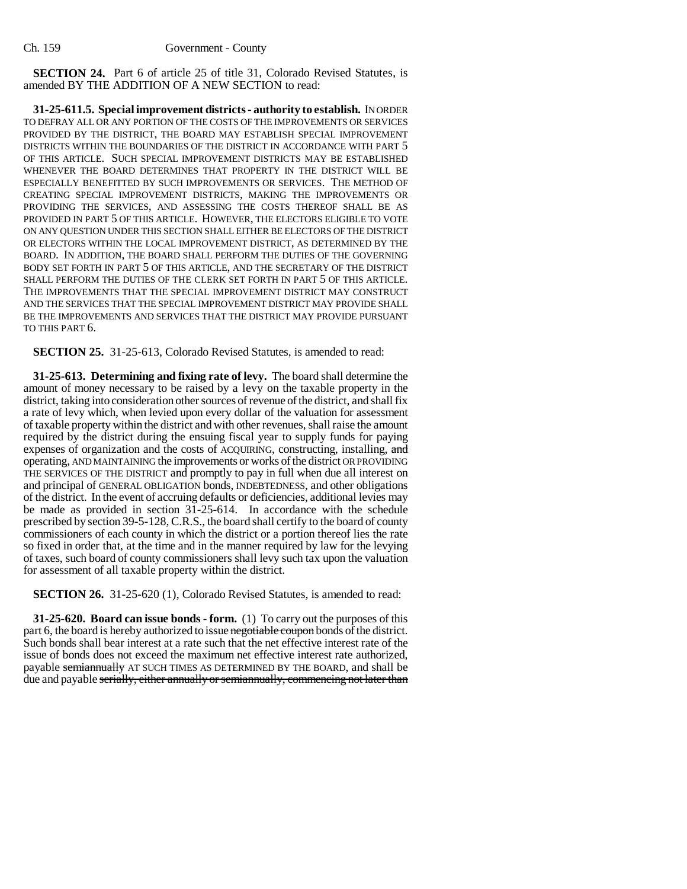**SECTION 24.** Part 6 of article 25 of title 31, Colorado Revised Statutes, is amended BY THE ADDITION OF A NEW SECTION to read:

**31-25-611.5. Special improvement districts - authority to establish.** IN ORDER TO DEFRAY ALL OR ANY PORTION OF THE COSTS OF THE IMPROVEMENTS OR SERVICES PROVIDED BY THE DISTRICT, THE BOARD MAY ESTABLISH SPECIAL IMPROVEMENT DISTRICTS WITHIN THE BOUNDARIES OF THE DISTRICT IN ACCORDANCE WITH PART 5 OF THIS ARTICLE. SUCH SPECIAL IMPROVEMENT DISTRICTS MAY BE ESTABLISHED WHENEVER THE BOARD DETERMINES THAT PROPERTY IN THE DISTRICT WILL BE ESPECIALLY BENEFITTED BY SUCH IMPROVEMENTS OR SERVICES. THE METHOD OF CREATING SPECIAL IMPROVEMENT DISTRICTS, MAKING THE IMPROVEMENTS OR PROVIDING THE SERVICES, AND ASSESSING THE COSTS THEREOF SHALL BE AS PROVIDED IN PART 5 OF THIS ARTICLE. HOWEVER, THE ELECTORS ELIGIBLE TO VOTE ON ANY QUESTION UNDER THIS SECTION SHALL EITHER BE ELECTORS OF THE DISTRICT OR ELECTORS WITHIN THE LOCAL IMPROVEMENT DISTRICT, AS DETERMINED BY THE BOARD. IN ADDITION, THE BOARD SHALL PERFORM THE DUTIES OF THE GOVERNING BODY SET FORTH IN PART 5 OF THIS ARTICLE, AND THE SECRETARY OF THE DISTRICT SHALL PERFORM THE DUTIES OF THE CLERK SET FORTH IN PART 5 OF THIS ARTICLE. THE IMPROVEMENTS THAT THE SPECIAL IMPROVEMENT DISTRICT MAY CONSTRUCT AND THE SERVICES THAT THE SPECIAL IMPROVEMENT DISTRICT MAY PROVIDE SHALL BE THE IMPROVEMENTS AND SERVICES THAT THE DISTRICT MAY PROVIDE PURSUANT TO THIS PART 6.

**SECTION 25.** 31-25-613, Colorado Revised Statutes, is amended to read:

**31-25-613. Determining and fixing rate of levy.** The board shall determine the amount of money necessary to be raised by a levy on the taxable property in the district, taking into consideration other sources of revenue of the district, and shall fix a rate of levy which, when levied upon every dollar of the valuation for assessment of taxable property within the district and with other revenues, shall raise the amount required by the district during the ensuing fiscal year to supply funds for paying expenses of organization and the costs of ACQUIRING, constructing, installing, and operating, AND MAINTAINING the improvements or works of the district OR PROVIDING THE SERVICES OF THE DISTRICT and promptly to pay in full when due all interest on and principal of GENERAL OBLIGATION bonds, INDEBTEDNESS, and other obligations of the district. In the event of accruing defaults or deficiencies, additional levies may be made as provided in section 31-25-614. In accordance with the schedule prescribed by section 39-5-128, C.R.S., the board shall certify to the board of county commissioners of each county in which the district or a portion thereof lies the rate so fixed in order that, at the time and in the manner required by law for the levying of taxes, such board of county commissioners shall levy such tax upon the valuation for assessment of all taxable property within the district.

**SECTION 26.** 31-25-620 (1), Colorado Revised Statutes, is amended to read:

**31-25-620. Board can issue bonds - form.** (1) To carry out the purposes of this part 6, the board is hereby authorized to issue negotiable coupon bonds of the district. Such bonds shall bear interest at a rate such that the net effective interest rate of the issue of bonds does not exceed the maximum net effective interest rate authorized, payable semiannually AT SUCH TIMES AS DETERMINED BY THE BOARD, and shall be due and payable serially, either annually or semiannually, commencing not later than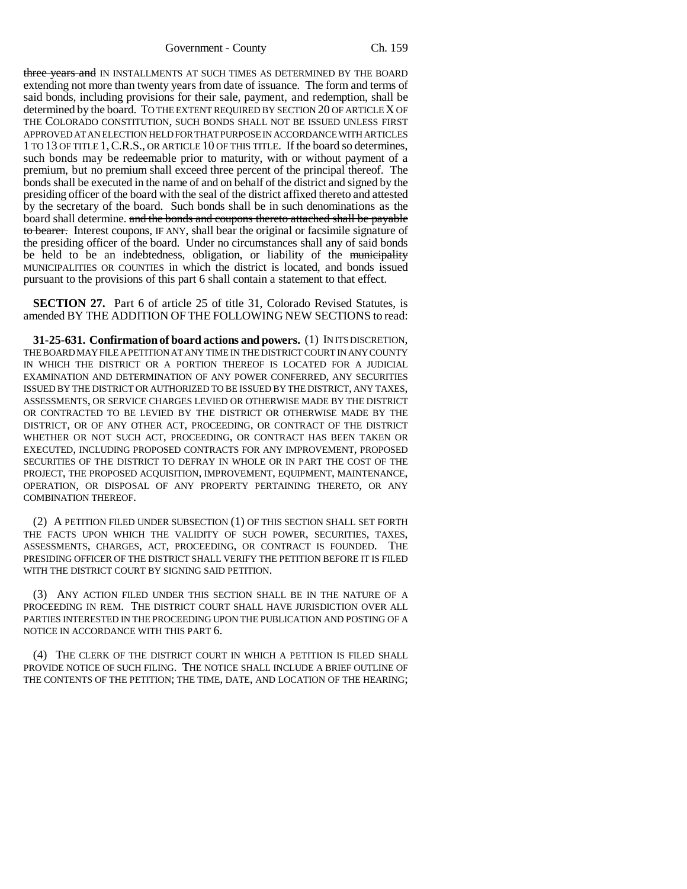Government - County Ch. 159

three years and IN INSTALLMENTS AT SUCH TIMES AS DETERMINED BY THE BOARD extending not more than twenty years from date of issuance. The form and terms of said bonds, including provisions for their sale, payment, and redemption, shall be determined by the board. TO THE EXTENT REQUIRED BY SECTION 20 OF ARTICLE X OF THE COLORADO CONSTITUTION, SUCH BONDS SHALL NOT BE ISSUED UNLESS FIRST APPROVED AT AN ELECTION HELD FOR THAT PURPOSE IN ACCORDANCE WITH ARTICLES 1 TO 13 OF TITLE 1,C.R.S., OR ARTICLE 10 OF THIS TITLE. If the board so determines, such bonds may be redeemable prior to maturity, with or without payment of a premium, but no premium shall exceed three percent of the principal thereof. The bonds shall be executed in the name of and on behalf of the district and signed by the presiding officer of the board with the seal of the district affixed thereto and attested by the secretary of the board. Such bonds shall be in such denominations as the board shall determine. and the bonds and coupons thereto attached shall be payable to bearer. Interest coupons, IF ANY, shall bear the original or facsimile signature of the presiding officer of the board. Under no circumstances shall any of said bonds be held to be an indebtedness, obligation, or liability of the municipality MUNICIPALITIES OR COUNTIES in which the district is located, and bonds issued pursuant to the provisions of this part 6 shall contain a statement to that effect.

**SECTION 27.** Part 6 of article 25 of title 31, Colorado Revised Statutes, is amended BY THE ADDITION OF THE FOLLOWING NEW SECTIONS to read:

**31-25-631. Confirmation of board actions and powers.** (1) IN ITS DISCRETION, THE BOARD MAY FILE A PETITION AT ANY TIME IN THE DISTRICT COURT IN ANY COUNTY IN WHICH THE DISTRICT OR A PORTION THEREOF IS LOCATED FOR A JUDICIAL EXAMINATION AND DETERMINATION OF ANY POWER CONFERRED, ANY SECURITIES ISSUED BY THE DISTRICT OR AUTHORIZED TO BE ISSUED BY THE DISTRICT, ANY TAXES, ASSESSMENTS, OR SERVICE CHARGES LEVIED OR OTHERWISE MADE BY THE DISTRICT OR CONTRACTED TO BE LEVIED BY THE DISTRICT OR OTHERWISE MADE BY THE DISTRICT, OR OF ANY OTHER ACT, PROCEEDING, OR CONTRACT OF THE DISTRICT WHETHER OR NOT SUCH ACT, PROCEEDING, OR CONTRACT HAS BEEN TAKEN OR EXECUTED, INCLUDING PROPOSED CONTRACTS FOR ANY IMPROVEMENT, PROPOSED SECURITIES OF THE DISTRICT TO DEFRAY IN WHOLE OR IN PART THE COST OF THE PROJECT, THE PROPOSED ACQUISITION, IMPROVEMENT, EQUIPMENT, MAINTENANCE, OPERATION, OR DISPOSAL OF ANY PROPERTY PERTAINING THERETO, OR ANY COMBINATION THEREOF.

(2) A PETITION FILED UNDER SUBSECTION (1) OF THIS SECTION SHALL SET FORTH THE FACTS UPON WHICH THE VALIDITY OF SUCH POWER, SECURITIES, TAXES, ASSESSMENTS, CHARGES, ACT, PROCEEDING, OR CONTRACT IS FOUNDED. THE PRESIDING OFFICER OF THE DISTRICT SHALL VERIFY THE PETITION BEFORE IT IS FILED WITH THE DISTRICT COURT BY SIGNING SAID PETITION.

(3) ANY ACTION FILED UNDER THIS SECTION SHALL BE IN THE NATURE OF A PROCEEDING IN REM. THE DISTRICT COURT SHALL HAVE JURISDICTION OVER ALL PARTIES INTERESTED IN THE PROCEEDING UPON THE PUBLICATION AND POSTING OF A NOTICE IN ACCORDANCE WITH THIS PART 6.

(4) THE CLERK OF THE DISTRICT COURT IN WHICH A PETITION IS FILED SHALL PROVIDE NOTICE OF SUCH FILING. THE NOTICE SHALL INCLUDE A BRIEF OUTLINE OF THE CONTENTS OF THE PETITION; THE TIME, DATE, AND LOCATION OF THE HEARING;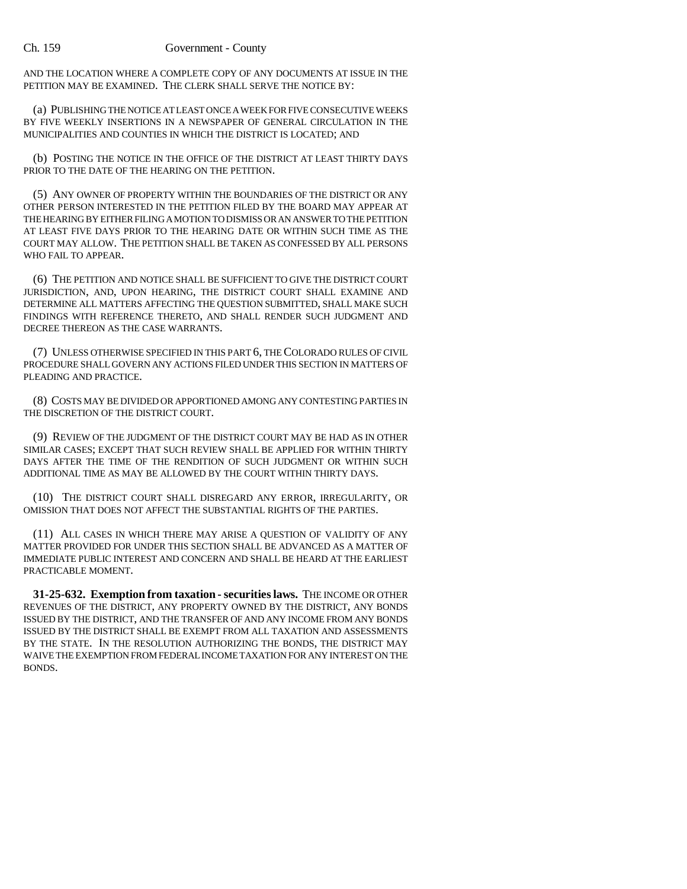AND THE LOCATION WHERE A COMPLETE COPY OF ANY DOCUMENTS AT ISSUE IN THE PETITION MAY BE EXAMINED. THE CLERK SHALL SERVE THE NOTICE BY:

(a) PUBLISHING THE NOTICE AT LEAST ONCE A WEEK FOR FIVE CONSECUTIVE WEEKS BY FIVE WEEKLY INSERTIONS IN A NEWSPAPER OF GENERAL CIRCULATION IN THE MUNICIPALITIES AND COUNTIES IN WHICH THE DISTRICT IS LOCATED; AND

(b) POSTING THE NOTICE IN THE OFFICE OF THE DISTRICT AT LEAST THIRTY DAYS PRIOR TO THE DATE OF THE HEARING ON THE PETITION.

(5) ANY OWNER OF PROPERTY WITHIN THE BOUNDARIES OF THE DISTRICT OR ANY OTHER PERSON INTERESTED IN THE PETITION FILED BY THE BOARD MAY APPEAR AT THE HEARING BY EITHER FILING A MOTION TO DISMISS OR AN ANSWER TO THE PETITION AT LEAST FIVE DAYS PRIOR TO THE HEARING DATE OR WITHIN SUCH TIME AS THE COURT MAY ALLOW. THE PETITION SHALL BE TAKEN AS CONFESSED BY ALL PERSONS WHO FAIL TO APPEAR.

(6) THE PETITION AND NOTICE SHALL BE SUFFICIENT TO GIVE THE DISTRICT COURT JURISDICTION, AND, UPON HEARING, THE DISTRICT COURT SHALL EXAMINE AND DETERMINE ALL MATTERS AFFECTING THE QUESTION SUBMITTED, SHALL MAKE SUCH FINDINGS WITH REFERENCE THERETO, AND SHALL RENDER SUCH JUDGMENT AND DECREE THEREON AS THE CASE WARRANTS.

(7) UNLESS OTHERWISE SPECIFIED IN THIS PART 6, THE COLORADO RULES OF CIVIL PROCEDURE SHALL GOVERN ANY ACTIONS FILED UNDER THIS SECTION IN MATTERS OF PLEADING AND PRACTICE.

(8) COSTS MAY BE DIVIDED OR APPORTIONED AMONG ANY CONTESTING PARTIES IN THE DISCRETION OF THE DISTRICT COURT.

(9) REVIEW OF THE JUDGMENT OF THE DISTRICT COURT MAY BE HAD AS IN OTHER SIMILAR CASES; EXCEPT THAT SUCH REVIEW SHALL BE APPLIED FOR WITHIN THIRTY DAYS AFTER THE TIME OF THE RENDITION OF SUCH JUDGMENT OR WITHIN SUCH ADDITIONAL TIME AS MAY BE ALLOWED BY THE COURT WITHIN THIRTY DAYS.

(10) THE DISTRICT COURT SHALL DISREGARD ANY ERROR, IRREGULARITY, OR OMISSION THAT DOES NOT AFFECT THE SUBSTANTIAL RIGHTS OF THE PARTIES.

(11) ALL CASES IN WHICH THERE MAY ARISE A QUESTION OF VALIDITY OF ANY MATTER PROVIDED FOR UNDER THIS SECTION SHALL BE ADVANCED AS A MATTER OF IMMEDIATE PUBLIC INTEREST AND CONCERN AND SHALL BE HEARD AT THE EARLIEST PRACTICABLE MOMENT.

**31-25-632. Exemption from taxation - securities laws.** THE INCOME OR OTHER REVENUES OF THE DISTRICT, ANY PROPERTY OWNED BY THE DISTRICT, ANY BONDS ISSUED BY THE DISTRICT, AND THE TRANSFER OF AND ANY INCOME FROM ANY BONDS ISSUED BY THE DISTRICT SHALL BE EXEMPT FROM ALL TAXATION AND ASSESSMENTS BY THE STATE. IN THE RESOLUTION AUTHORIZING THE BONDS, THE DISTRICT MAY WAIVE THE EXEMPTION FROM FEDERAL INCOME TAXATION FOR ANY INTEREST ON THE BONDS.